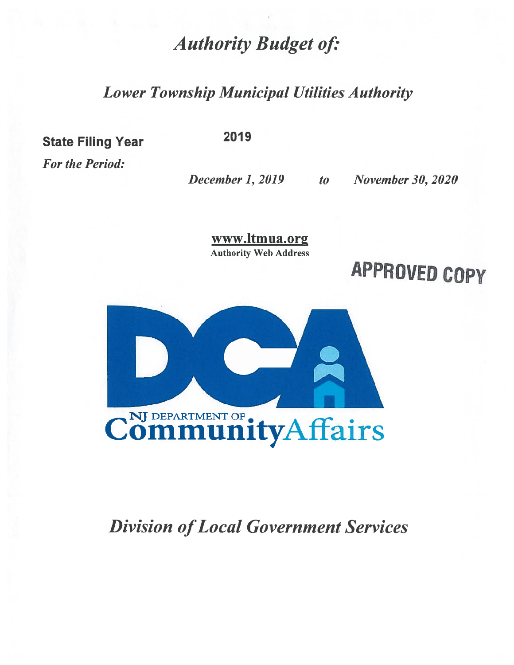# **Authority Budget of:**

# **Lower Township Municipal Utilities Authority**

**State Filing Year** 

**For the Period:** 

2019

December 1, 2019 to

**November 30, 2020** 

www.ltmua.org **Authority Web Address** 





# **Division of Local Government Services**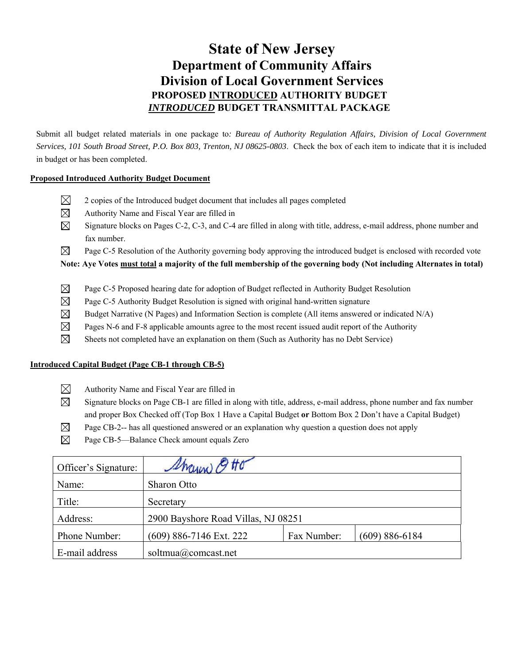### **State of New Jersey Department of Community Affairs Division of Local Government Services PROPOSED INTRODUCED AUTHORITY BUDGET**  *INTRODUCED* **BUDGET TRANSMITTAL PACKAGE**

Submit all budget related materials in one package to*: Bureau of Authority Regulation Affairs, Division of Local Government Services, 101 South Broad Street, P.O. Box 803, Trenton, NJ 08625-0803*. Check the box of each item to indicate that it is included in budget or has been completed.

#### **Proposed Introduced Authority Budget Document**

- $\boxtimes$  2 copies of the Introduced budget document that includes all pages completed
- $\boxtimes$  Authority Name and Fiscal Year are filled in
- $\boxtimes$  Signature blocks on Pages C-2, C-3, and C-4 are filled in along with title, address, e-mail address, phone number and fax number.
- $\boxtimes$  Page C-5 Resolution of the Authority governing body approving the introduced budget is enclosed with recorded vote

**Note: Aye Votes must total a majority of the full membership of the governing body (Not including Alternates in total)** 

- $\boxtimes$  Page C-5 Proposed hearing date for adoption of Budget reflected in Authority Budget Resolution
- $\boxtimes$  Page C-5 Authority Budget Resolution is signed with original hand-written signature
- $\boxtimes$  Budget Narrative (N Pages) and Information Section is complete (All items answered or indicated N/A)
- $\boxtimes$  Pages N-6 and F-8 applicable amounts agree to the most recent issued audit report of the Authority
- $\boxtimes$  Sheets not completed have an explanation on them (Such as Authority has no Debt Service)

#### **Introduced Capital Budget (Page CB-1 through CB-5)**

- $\boxtimes$  Authority Name and Fiscal Year are filled in
- $\boxtimes$  Signature blocks on Page CB-1 are filled in along with title, address, e-mail address, phone number and fax number and proper Box Checked off (Top Box 1 Have a Capital Budget **or** Bottom Box 2 Don't have a Capital Budget)
- $\boxtimes$  Page CB-2-- has all questioned answered or an explanation why question a question does not apply
- $\boxtimes$  Page CB-5—Balance Check amount equals Zero

| Officer's Signature: | <i>Ihrenon</i>                      |             |                    |
|----------------------|-------------------------------------|-------------|--------------------|
| Name:                | Sharon Otto                         |             |                    |
| Title:               | Secretary                           |             |                    |
| Address:             | 2900 Bayshore Road Villas, NJ 08251 |             |                    |
| Phone Number:        | (609) 886-7146 Ext. 222             | Fax Number: | $(609) 886 - 6184$ |
| E-mail address       | soltmua@comcast.net                 |             |                    |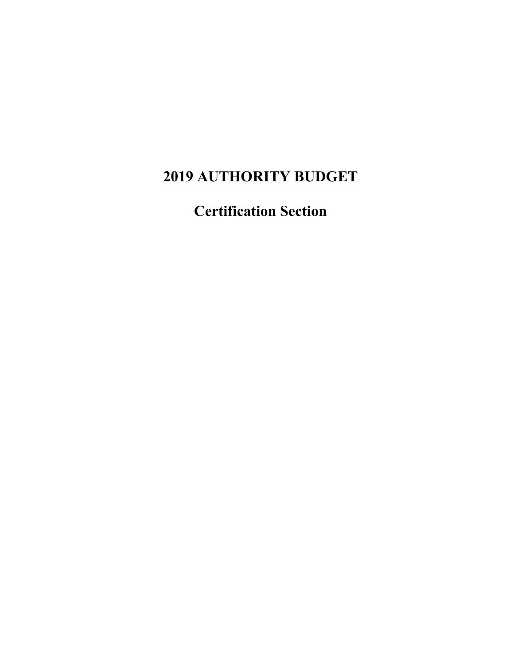# **2019 AUTHORITY BUDGET**

**Certification Section**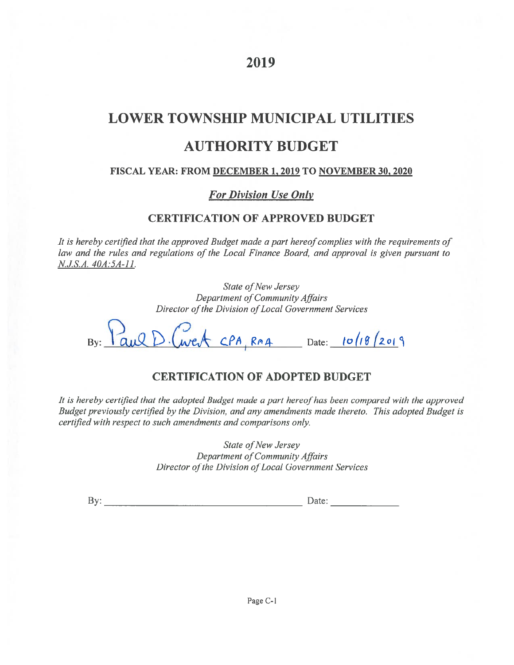### 2019

# **LOWER TOWNSHIP MUNICIPAL UTILITIES AUTHORITY BUDGET**

#### FISCAL YEAR: FROM DECEMBER 1, 2019 TO NOVEMBER 30, 2020

### **For Division Use Only**

### **CERTIFICATION OF APPROVED BUDGET**

It is hereby certified that the approved Budget made a part hereof complies with the requirements of law and the rules and regulations of the Local Finance Board, and approval is given pursuant to N.J.S.A. 40A:5A-11.

> State of New Jersey Department of Community Affairs Director of the Division of Local Government Services

By: Paul D. Cwerk CPA, RMA Date: 10/18/2019

### **CERTIFICATION OF ADOPTED BUDGET**

It is hereby certified that the adopted Budget made a part hereof has been compared with the approved Budget previously certified by the Division, and any amendments made thereto. This adopted Budget is certified with respect to such amendments and comparisons only.

> State of New Jersey Department of Community Affairs Director of the Division of Local Government Services

By: Date: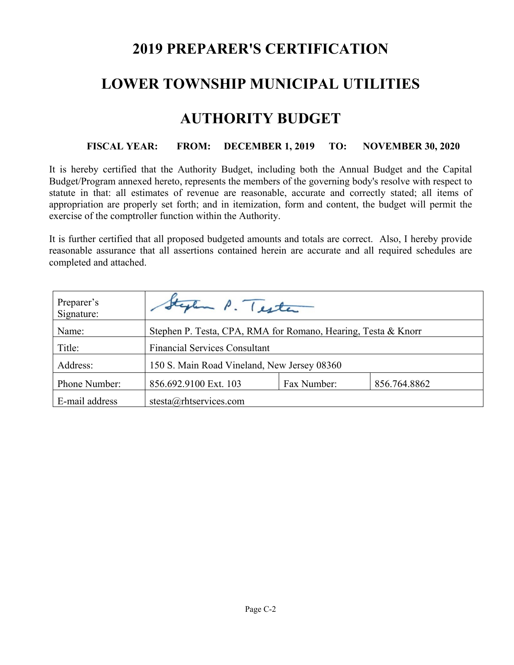# **2019 PREPARER'S CERTIFICATION**

### **LOWER TOWNSHIP MUNICIPAL UTILITIES**

### **AUTHORITY BUDGET**

### **FISCAL YEAR: FROM: DECEMBER 1, 2019 TO: NOVEMBER 30, 2020**

It is hereby certified that the Authority Budget, including both the Annual Budget and the Capital Budget/Program annexed hereto, represents the members of the governing body's resolve with respect to statute in that: all estimates of revenue are reasonable, accurate and correctly stated; all items of appropriation are properly set forth; and in itemization, form and content, the budget will permit the exercise of the comptroller function within the Authority.

It is further certified that all proposed budgeted amounts and totals are correct. Also, I hereby provide reasonable assurance that all assertions contained herein are accurate and all required schedules are completed and attached.

| Preparer's<br>Signature: | tylen P. Tester                                               |  |  |  |  |
|--------------------------|---------------------------------------------------------------|--|--|--|--|
| Name:                    | Stephen P. Testa, CPA, RMA for Romano, Hearing, Testa & Knorr |  |  |  |  |
| Title:                   | <b>Financial Services Consultant</b>                          |  |  |  |  |
| Address:                 | 150 S. Main Road Vineland, New Jersey 08360                   |  |  |  |  |
| Phone Number:            | 856.692.9100 Ext. 103<br>Fax Number:<br>856.764.8862          |  |  |  |  |
| E-mail address           | stesta@rhtservices.com                                        |  |  |  |  |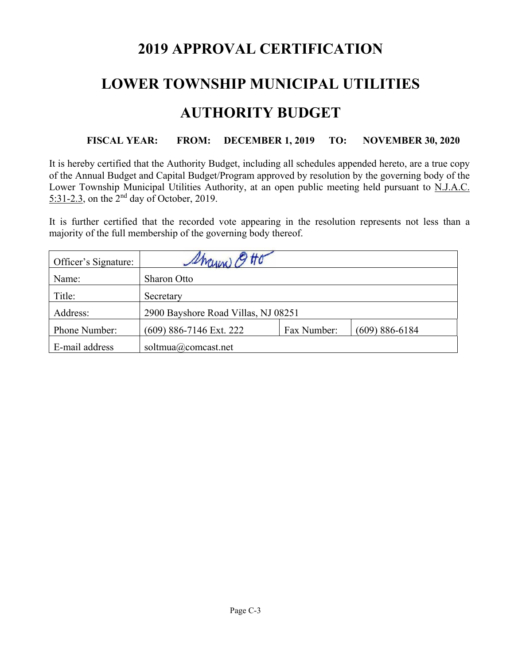# **2019 APPROVAL CERTIFICATION**

# **LOWER TOWNSHIP MUNICIPAL UTILITIES**

# **AUTHORITY BUDGET**

### **FISCAL YEAR: FROM: DECEMBER 1, 2019 TO: NOVEMBER 30, 2020**

It is hereby certified that the Authority Budget, including all schedules appended hereto, are a true copy of the Annual Budget and Capital Budget/Program approved by resolution by the governing body of the Lower Township Municipal Utilities Authority, at an open public meeting held pursuant to N.J.A.C.  $5:31-2.3$ , on the  $2<sup>nd</sup>$  day of October, 2019.

It is further certified that the recorded vote appearing in the resolution represents not less than a majority of the full membership of the governing body thereof.

| Officer's Signature: | Marina)                             |             |                    |
|----------------------|-------------------------------------|-------------|--------------------|
| Name:                | Sharon Otto                         |             |                    |
| Title:               | Secretary                           |             |                    |
| Address:             | 2900 Bayshore Road Villas, NJ 08251 |             |                    |
| Phone Number:        | (609) 886-7146 Ext. 222             | Fax Number: | $(609) 886 - 6184$ |
| E-mail address       | soltmua@comcast.net                 |             |                    |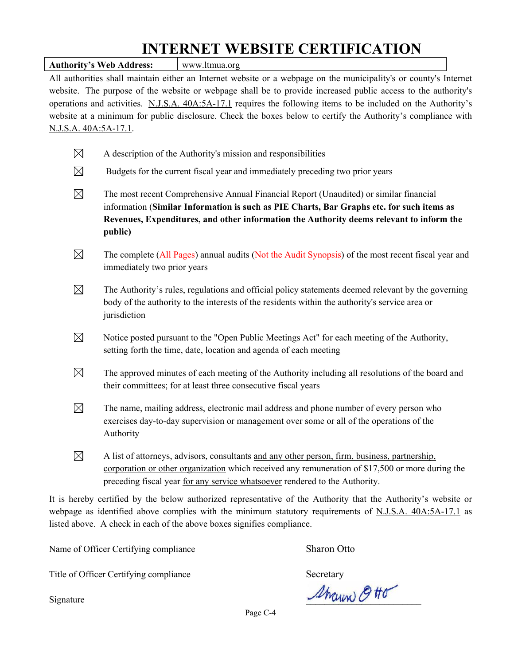# **INTERNET WEBSITE CERTIFICATION**

Authority's Web Address: Www.ltmua.org All authorities shall maintain either an Internet website or a webpage on the municipality's or county's Internet website. The purpose of the website or webpage shall be to provide increased public access to the authority's operations and activities. N.J.S.A. 40A:5A-17.1 requires the following items to be included on the Authority's website at a minimum for public disclosure. Check the boxes below to certify the Authority's compliance with N.J.S.A. 40A:5A-17.1.  $\boxtimes$  A description of the Authority's mission and responsibilities  $\boxtimes$  Budgets for the current fiscal year and immediately preceding two prior years  $\boxtimes$  The most recent Comprehensive Annual Financial Report (Unaudited) or similar financial information (**Similar Information is such as PIE Charts, Bar Graphs etc. for such items as Revenues, Expenditures, and other information the Authority deems relevant to inform the public)**  $\boxtimes$  The complete (All Pages) annual audits (Not the Audit Synopsis) of the most recent fiscal year and immediately two prior years  $\boxtimes$  The Authority's rules, regulations and official policy statements deemed relevant by the governing body of the authority to the interests of the residents within the authority's service area or jurisdiction  $\boxtimes$  Notice posted pursuant to the "Open Public Meetings Act" for each meeting of the Authority, setting forth the time, date, location and agenda of each meeting  $\boxtimes$  The approved minutes of each meeting of the Authority including all resolutions of the board and their committees; for at least three consecutive fiscal years  $\boxtimes$  The name, mailing address, electronic mail address and phone number of every person who exercises day-to-day supervision or management over some or all of the operations of the Authority

 $\boxtimes$  A list of attorneys, advisors, consultants and any other person, firm, business, partnership, corporation or other organization which received any remuneration of \$17,500 or more during the preceding fiscal year for any service whatsoever rendered to the Authority.

It is hereby certified by the below authorized representative of the Authority that the Authority's website or webpage as identified above complies with the minimum statutory requirements of N.J.S.A. 40A:5A-17.1 as listed above. A check in each of the above boxes signifies compliance.

Name of Officer Certifying compliance Sharon Otto

Title of Officer Certifying compliance Secretary

 $\mathcal{A}_{\mathcal{M}\alpha\mu\nu\nu}$   $\beta$  the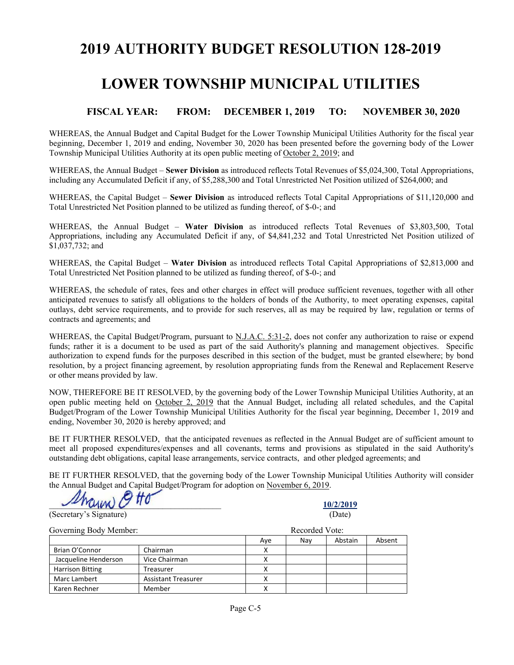### **2019 AUTHORITY BUDGET RESOLUTION 128-2019**

### **LOWER TOWNSHIP MUNICIPAL UTILITIES**

#### **FISCAL YEAR: FROM: DECEMBER 1, 2019 TO: NOVEMBER 30, 2020**

WHEREAS, the Annual Budget and Capital Budget for the Lower Township Municipal Utilities Authority for the fiscal year beginning, December 1, 2019 and ending, November 30, 2020 has been presented before the governing body of the Lower Township Municipal Utilities Authority at its open public meeting of October 2, 2019; and

WHEREAS, the Annual Budget – **Sewer Division** as introduced reflects Total Revenues of \$5,024,300, Total Appropriations, including any Accumulated Deficit if any, of \$5,288,300 and Total Unrestricted Net Position utilized of \$264,000; and

WHEREAS, the Capital Budget – **Sewer Division** as introduced reflects Total Capital Appropriations of \$11,120,000 and Total Unrestricted Net Position planned to be utilized as funding thereof, of \$-0-; and

WHEREAS, the Annual Budget – **Water Division** as introduced reflects Total Revenues of \$3,803,500, Total Appropriations, including any Accumulated Deficit if any, of \$4,841,232 and Total Unrestricted Net Position utilized of \$1,037,732; and

WHEREAS, the Capital Budget – **Water Division** as introduced reflects Total Capital Appropriations of \$2,813,000 and Total Unrestricted Net Position planned to be utilized as funding thereof, of \$-0-; and

WHEREAS, the schedule of rates, fees and other charges in effect will produce sufficient revenues, together with all other anticipated revenues to satisfy all obligations to the holders of bonds of the Authority, to meet operating expenses, capital outlays, debt service requirements, and to provide for such reserves, all as may be required by law, regulation or terms of contracts and agreements; and

WHEREAS, the Capital Budget/Program, pursuant to <u>N.J.A.C. 5:31-2</u>, does not confer any authorization to raise or expend funds; rather it is a document to be used as part of the said Authority's planning and management objectives. Specific authorization to expend funds for the purposes described in this section of the budget, must be granted elsewhere; by bond resolution, by a project financing agreement, by resolution appropriating funds from the Renewal and Replacement Reserve or other means provided by law.

NOW, THEREFORE BE IT RESOLVED, by the governing body of the Lower Township Municipal Utilities Authority, at an open public meeting held on October 2, 2019 that the Annual Budget, including all related schedules, and the Capital Budget/Program of the Lower Township Municipal Utilities Authority for the fiscal year beginning, December 1, 2019 and ending, November 30, 2020 is hereby approved; and

BE IT FURTHER RESOLVED, that the anticipated revenues as reflected in the Annual Budget are of sufficient amount to meet all proposed expenditures/expenses and all covenants, terms and provisions as stipulated in the said Authority's outstanding debt obligations, capital lease arrangements, service contracts, and other pledged agreements; and

BE IT FURTHER RESOLVED, that the governing body of the Lower Township Municipal Utilities Authority will consider the Annual Budget and Capital Budget/Program for adoption on November 6, 2019.

 $\frac{10/2/2019}{\sqrt{10}}$ 

(Secretary's Signature) (Date)

| Governing Body Member:  |                            | Recorded Vote: |     |         |        |  |  |
|-------------------------|----------------------------|----------------|-----|---------|--------|--|--|
|                         |                            | Ave            | Nav | Abstain | Absent |  |  |
| Brian O'Connor          | Chairman                   |                |     |         |        |  |  |
| Jacqueline Henderson    | Vice Chairman              |                |     |         |        |  |  |
| <b>Harrison Bitting</b> | Treasurer                  |                |     |         |        |  |  |
| Marc Lambert            | <b>Assistant Treasurer</b> |                |     |         |        |  |  |
| Karen Rechner           | Member                     |                |     |         |        |  |  |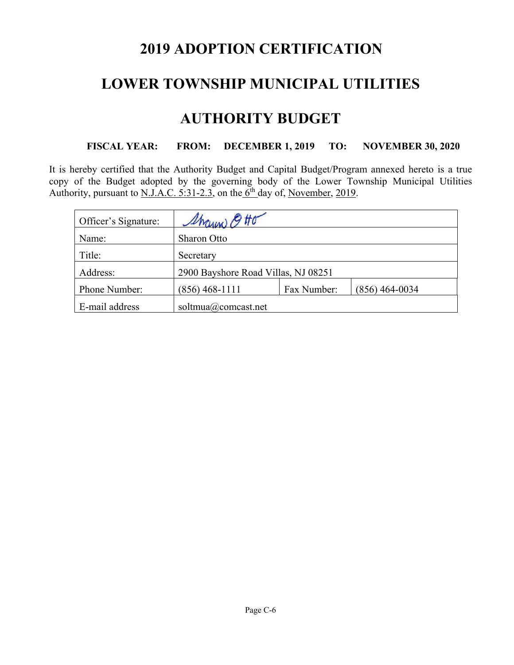# **2019 ADOPTION CERTIFICATION**

### **LOWER TOWNSHIP MUNICIPAL UTILITIES**

### **AUTHORITY BUDGET**

### **FISCAL YEAR: FROM: DECEMBER 1, 2019 TO: NOVEMBER 30, 2020**

It is hereby certified that the Authority Budget and Capital Budget/Program annexed hereto is a true copy of the Budget adopted by the governing body of the Lower Township Municipal Utilities Authority, pursuant to <u>N.J.A.C. 5:31-2.3</u>, on the  $6<sup>th</sup>$  day of, November, 2019.

| Officer's Signature: | Sharin Otto                         |             |                  |
|----------------------|-------------------------------------|-------------|------------------|
| Name:                | <b>Sharon Otto</b>                  |             |                  |
| Title:               | Secretary                           |             |                  |
| Address:             | 2900 Bayshore Road Villas, NJ 08251 |             |                  |
| Phone Number:        | $(856)$ 468-1111                    | Fax Number: | $(856)$ 464-0034 |
| E-mail address       | soltmua@comcast.net                 |             |                  |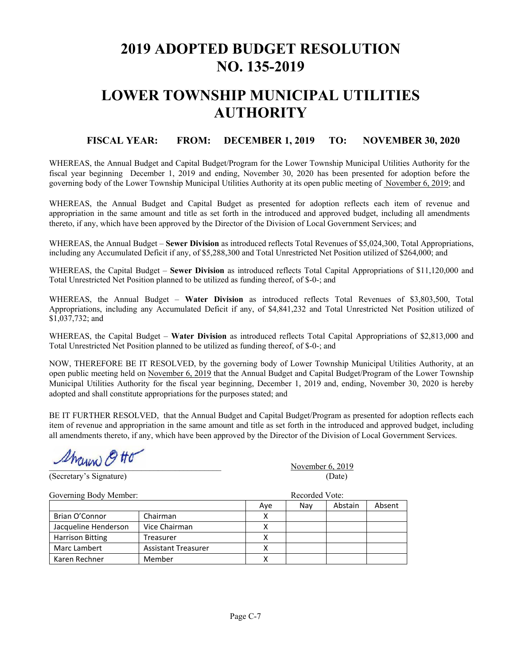# **2019 ADOPTED BUDGET RESOLUTION NO. 135-2019**

# **LOWER TOWNSHIP MUNICIPAL UTILITIES AUTHORITY**

#### **FISCAL YEAR: FROM: DECEMBER 1, 2019 TO: NOVEMBER 30, 2020**

WHEREAS, the Annual Budget and Capital Budget/Program for the Lower Township Municipal Utilities Authority for the fiscal year beginning December 1, 2019 and ending, November 30, 2020 has been presented for adoption before the governing body of the Lower Township Municipal Utilities Authority at its open public meeting of November 6, 2019; and

WHEREAS, the Annual Budget and Capital Budget as presented for adoption reflects each item of revenue and appropriation in the same amount and title as set forth in the introduced and approved budget, including all amendments thereto, if any, which have been approved by the Director of the Division of Local Government Services; and

WHEREAS, the Annual Budget – **Sewer Division** as introduced reflects Total Revenues of \$5,024,300, Total Appropriations, including any Accumulated Deficit if any, of \$5,288,300 and Total Unrestricted Net Position utilized of \$264,000; and

WHEREAS, the Capital Budget – **Sewer Division** as introduced reflects Total Capital Appropriations of \$11,120,000 and Total Unrestricted Net Position planned to be utilized as funding thereof, of \$-0-; and

WHEREAS, the Annual Budget – **Water Division** as introduced reflects Total Revenues of \$3,803,500, Total Appropriations, including any Accumulated Deficit if any, of \$4,841,232 and Total Unrestricted Net Position utilized of \$1,037,732; and

WHEREAS, the Capital Budget – **Water Division** as introduced reflects Total Capital Appropriations of \$2,813,000 and Total Unrestricted Net Position planned to be utilized as funding thereof, of \$-0-; and

NOW, THEREFORE BE IT RESOLVED, by the governing body of Lower Township Municipal Utilities Authority, at an open public meeting held on November 6, 2019 that the Annual Budget and Capital Budget/Program of the Lower Township Municipal Utilities Authority for the fiscal year beginning, December 1, 2019 and, ending, November 30, 2020 is hereby adopted and shall constitute appropriations for the purposes stated; and

BE IT FURTHER RESOLVED, that the Annual Budget and Capital Budget/Program as presented for adoption reflects each item of revenue and appropriation in the same amount and title as set forth in the introduced and approved budget, including all amendments thereto, if any, which have been approved by the Director of the Division of Local Government Services.

 $\mathscr{D}\mathscr{H}$   $\mathscr{D}\mathscr{H}$ 

(Secretary's Signature) (Date)

Governing Body Member: **Recorded Vote:** Recorded Vote: Aye Nay Abstain Absent Brian O'Connor | Chairman X Jacqueline Henderson Vice Chairman X Harrison Bitting Treasurer Treasurer X Marc Lambert | Assistant Treasurer | X Karen Rechner | Member | X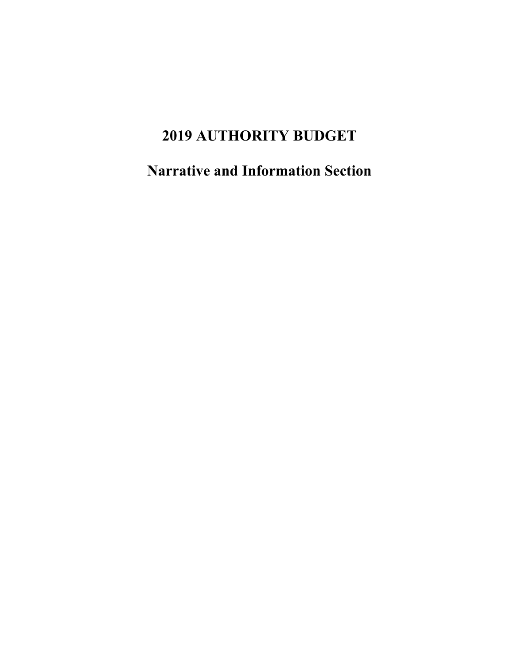# **2019 AUTHORITY BUDGET**

**Narrative and Information Section**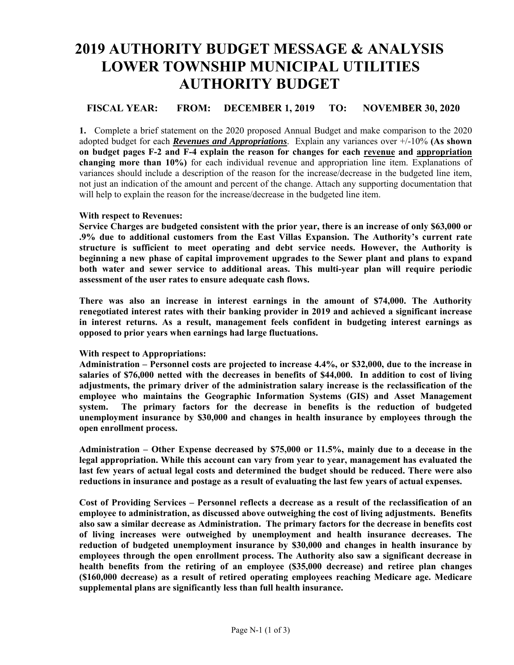# **2019 AUTHORITY BUDGET MESSAGE & ANALYSIS LOWER TOWNSHIP MUNICIPAL UTILITIES AUTHORITY BUDGET**

#### **FISCAL YEAR: FROM: DECEMBER 1, 2019 TO: NOVEMBER 30, 2020**

**1.** Complete a brief statement on the 2020 proposed Annual Budget and make comparison to the 2020 adopted budget for each *Revenues and Appropriations*. Explain any variances over +/-10% **(As shown on budget pages F-2 and F-4 explain the reason for changes for each revenue and appropriation changing more than 10%)** for each individual revenue and appropriation line item. Explanations of variances should include a description of the reason for the increase/decrease in the budgeted line item, not just an indication of the amount and percent of the change. Attach any supporting documentation that will help to explain the reason for the increase/decrease in the budgeted line item.

#### **With respect to Revenues:**

**Service Charges are budgeted consistent with the prior year, there is an increase of only \$63,000 or .9% due to additional customers from the East Villas Expansion. The Authority's current rate structure is sufficient to meet operating and debt service needs. However, the Authority is beginning a new phase of capital improvement upgrades to the Sewer plant and plans to expand both water and sewer service to additional areas. This multi-year plan will require periodic assessment of the user rates to ensure adequate cash flows.** 

**There was also an increase in interest earnings in the amount of \$74,000. The Authority renegotiated interest rates with their banking provider in 2019 and achieved a significant increase in interest returns. As a result, management feels confident in budgeting interest earnings as opposed to prior years when earnings had large fluctuations.** 

#### **With respect to Appropriations:**

**Administration – Personnel costs are projected to increase 4.4%, or \$32,000, due to the increase in salaries of \$76,000 netted with the decreases in benefits of \$44,000. In addition to cost of living adjustments, the primary driver of the administration salary increase is the reclassification of the employee who maintains the Geographic Information Systems (GIS) and Asset Management system. The primary factors for the decrease in benefits is the reduction of budgeted unemployment insurance by \$30,000 and changes in health insurance by employees through the open enrollment process.** 

**Administration – Other Expense decreased by \$75,000 or 11.5%, mainly due to a decease in the legal appropriation. While this account can vary from year to year, management has evaluated the last few years of actual legal costs and determined the budget should be reduced. There were also reductions in insurance and postage as a result of evaluating the last few years of actual expenses.** 

**Cost of Providing Services – Personnel reflects a decrease as a result of the reclassification of an employee to administration, as discussed above outweighing the cost of living adjustments. Benefits also saw a similar decrease as Administration. The primary factors for the decrease in benefits cost of living increases were outweighed by unemployment and health insurance decreases. The reduction of budgeted unemployment insurance by \$30,000 and changes in health insurance by employees through the open enrollment process. The Authority also saw a significant decrease in health benefits from the retiring of an employee (\$35,000 decrease) and retiree plan changes (\$160,000 decrease) as a result of retired operating employees reaching Medicare age. Medicare supplemental plans are significantly less than full health insurance.**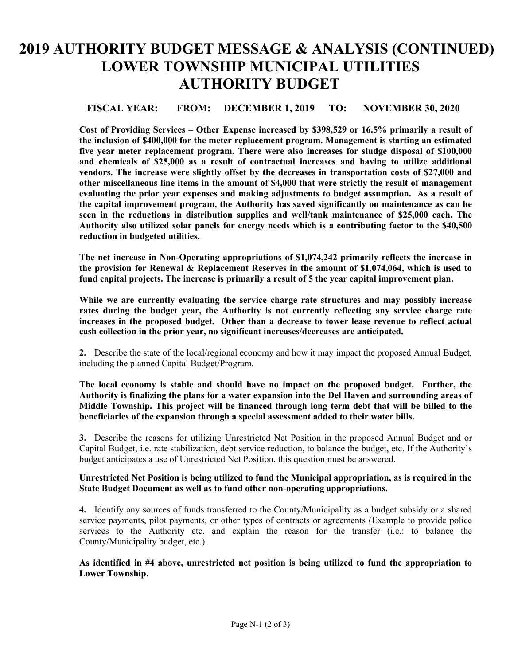# **2019 AUTHORITY BUDGET MESSAGE & ANALYSIS (CONTINUED) LOWER TOWNSHIP MUNICIPAL UTILITIES AUTHORITY BUDGET**

#### **FISCAL YEAR: FROM: DECEMBER 1, 2019 TO: NOVEMBER 30, 2020**

**Cost of Providing Services – Other Expense increased by \$398,529 or 16.5% primarily a result of the inclusion of \$400,000 for the meter replacement program. Management is starting an estimated five year meter replacement program. There were also increases for sludge disposal of \$100,000 and chemicals of \$25,000 as a result of contractual increases and having to utilize additional vendors. The increase were slightly offset by the decreases in transportation costs of \$27,000 and other miscellaneous line items in the amount of \$4,000 that were strictly the result of management evaluating the prior year expenses and making adjustments to budget assumption. As a result of the capital improvement program, the Authority has saved significantly on maintenance as can be seen in the reductions in distribution supplies and well/tank maintenance of \$25,000 each. The Authority also utilized solar panels for energy needs which is a contributing factor to the \$40,500 reduction in budgeted utilities.** 

**The net increase in Non-Operating appropriations of \$1,074,242 primarily reflects the increase in the provision for Renewal & Replacement Reserves in the amount of \$1,074,064, which is used to fund capital projects. The increase is primarily a result of 5 the year capital improvement plan.** 

**While we are currently evaluating the service charge rate structures and may possibly increase rates during the budget year, the Authority is not currently reflecting any service charge rate increases in the proposed budget. Other than a decrease to tower lease revenue to reflect actual cash collection in the prior year, no significant increases/decreases are anticipated.** 

**2.** Describe the state of the local/regional economy and how it may impact the proposed Annual Budget, including the planned Capital Budget/Program.

**The local economy is stable and should have no impact on the proposed budget. Further, the Authority is finalizing the plans for a water expansion into the Del Haven and surrounding areas of Middle Township. This project will be financed through long term debt that will be billed to the beneficiaries of the expansion through a special assessment added to their water bills.** 

**3.** Describe the reasons for utilizing Unrestricted Net Position in the proposed Annual Budget and or Capital Budget, i.e. rate stabilization, debt service reduction, to balance the budget, etc. If the Authority's budget anticipates a use of Unrestricted Net Position, this question must be answered.

#### **Unrestricted Net Position is being utilized to fund the Municipal appropriation, as is required in the State Budget Document as well as to fund other non-operating appropriations.**

**4.** Identify any sources of funds transferred to the County/Municipality as a budget subsidy or a shared service payments, pilot payments, or other types of contracts or agreements (Example to provide police services to the Authority etc. and explain the reason for the transfer (i.e.: to balance the County/Municipality budget, etc.).

**As identified in #4 above, unrestricted net position is being utilized to fund the appropriation to Lower Township.**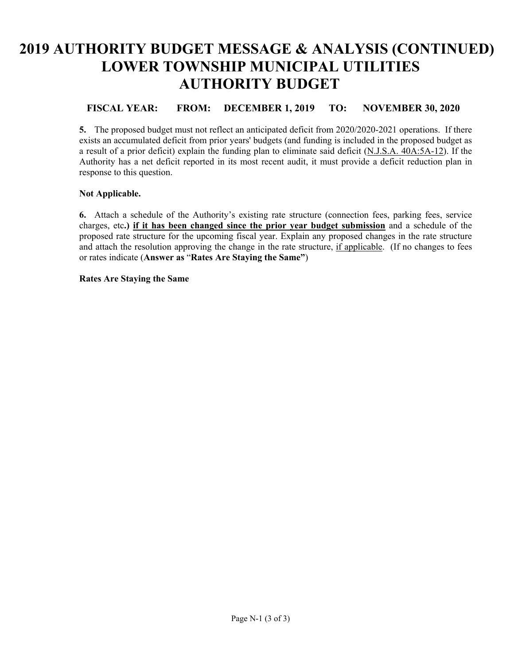# **2019 AUTHORITY BUDGET MESSAGE & ANALYSIS (CONTINUED) LOWER TOWNSHIP MUNICIPAL UTILITIES AUTHORITY BUDGET**

### **FISCAL YEAR: FROM: DECEMBER 1, 2019 TO: NOVEMBER 30, 2020**

**5.** The proposed budget must not reflect an anticipated deficit from 2020/2020-2021 operations. If there exists an accumulated deficit from prior years' budgets (and funding is included in the proposed budget as a result of a prior deficit) explain the funding plan to eliminate said deficit (N.J.S.A. 40A:5A-12). If the Authority has a net deficit reported in its most recent audit, it must provide a deficit reduction plan in response to this question.

#### **Not Applicable.**

**6.** Attach a schedule of the Authority's existing rate structure (connection fees, parking fees, service charges, etc**.) if it has been changed since the prior year budget submission** and a schedule of the proposed rate structure for the upcoming fiscal year. Explain any proposed changes in the rate structure and attach the resolution approving the change in the rate structure, if applicable. (If no changes to fees or rates indicate (**Answer as** "**Rates Are Staying the Same"**)

#### **Rates Are Staying the Same**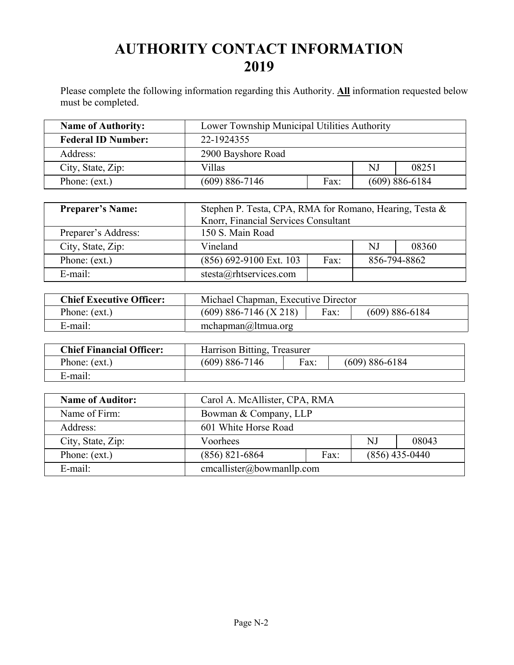# **AUTHORITY CONTACT INFORMATION 2019**

Please complete the following information regarding this Authority. **All** information requested below must be completed.

| <b>Name of Authority:</b> | Lower Township Municipal Utilities Authority     |  |  |  |
|---------------------------|--------------------------------------------------|--|--|--|
| <b>Federal ID Number:</b> | 22-1924355                                       |  |  |  |
| Address:                  | 2900 Bayshore Road                               |  |  |  |
| City, State, Zip:         | NJ<br>Villas<br>08251                            |  |  |  |
| Phone: (ext.)             | $(609) 886 - 7146$<br>$(609) 886 - 6184$<br>Fax: |  |  |  |

| <b>Preparer's Name:</b> | Stephen P. Testa, CPA, RMA for Romano, Hearing, Testa &<br>Knorr, Financial Services Consultant |     |       |              |  |
|-------------------------|-------------------------------------------------------------------------------------------------|-----|-------|--------------|--|
| Preparer's Address:     | 150 S. Main Road                                                                                |     |       |              |  |
| City, State, Zip:       | Vineland                                                                                        | N.J | 08360 |              |  |
| Phone: (ext.)           | (856) 692-9100 Ext. 103<br>Fax:                                                                 |     |       | 856-794-8862 |  |
| E-mail:                 | stesta@rhtservices.com                                                                          |     |       |              |  |

| <b>Chief Executive Officer:</b> | Michael Chapman, Executive Director                    |  |  |  |  |
|---------------------------------|--------------------------------------------------------|--|--|--|--|
| Phone: (ext.)                   | $(609)$ 886-7146 (X 218)<br>Fax:<br>$(609) 886 - 6184$ |  |  |  |  |
| E-mail:                         | mchapman@ltmua.org                                     |  |  |  |  |

| <b>Chief Financial Officer:</b> | Harrison Bitting, Treasurer |      |                    |  |
|---------------------------------|-----------------------------|------|--------------------|--|
| Phone: (ext.)                   | $(609) 886 - 7146$          | Fax: | $(609) 886 - 6184$ |  |
| E-mail:                         |                             |      |                    |  |

| <b>Name of Auditor:</b> | Carol A. McAllister, CPA, RMA                |             |  |  |  |
|-------------------------|----------------------------------------------|-------------|--|--|--|
| Name of Firm:           | Bowman & Company, LLP                        |             |  |  |  |
| Address:                | 601 White Horse Road                         |             |  |  |  |
| City, State, Zip:       | Voorhees                                     | NJ<br>08043 |  |  |  |
| Phone: (ext.)           | $(856)$ 821-6864<br>$(856)$ 435-0440<br>Fax: |             |  |  |  |
| E-mail:                 | $cm \text{callister}(a)$ bowmanllp.com       |             |  |  |  |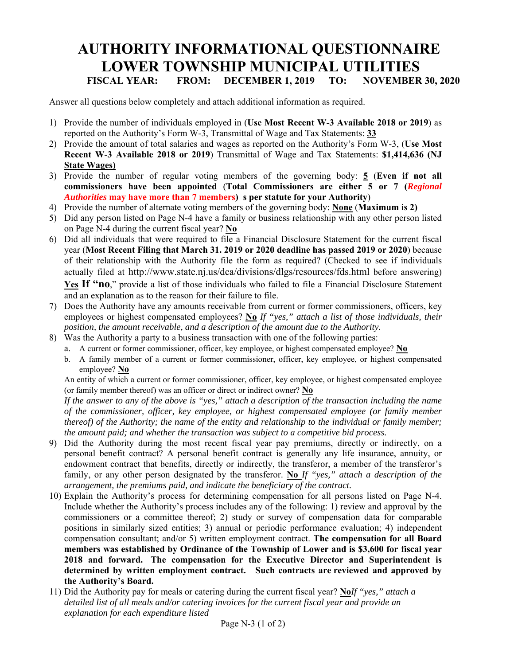### **AUTHORITY INFORMATIONAL QUESTIONNAIRE LOWER TOWNSHIP MUNICIPAL UTILITIES FISCAL YEAR: FROM: DECEMBER 1, 2019 TO: NOVEMBER 30, 2020**

Answer all questions below completely and attach additional information as required.

- 1) Provide the number of individuals employed in (**Use Most Recent W-3 Available 2018 or 2019**) as reported on the Authority's Form W-3, Transmittal of Wage and Tax Statements: **33**
- 2) Provide the amount of total salaries and wages as reported on the Authority's Form W-3, (**Use Most Recent W-3 Available 2018 or 2019**) Transmittal of Wage and Tax Statements: **\$1,414,636 (NJ State Wages)**
- 3) Provide the number of regular voting members of the governing body: **5** (**Even if not all commissioners have been appointed** (**Total Commissioners are either 5 or 7 (***Regional Authorities* **may have more than 7 members) s per statute for your Authority**)
- 4) Provide the number of alternate voting members of the governing body: **None** (**Maximum is 2)**
- 5) Did any person listed on Page N-4 have a family or business relationship with any other person listed on Page N-4 during the current fiscal year? **No**
- 6) Did all individuals that were required to file a Financial Disclosure Statement for the current fiscal year (**Most Recent Filing that March 31. 2019 or 2020 deadline has passed 2019 or 2020**) because of their relationship with the Authority file the form as required? (Checked to see if individuals actually filed at http://www.state.nj.us/dca/divisions/dlgs/resources/fds.html before answering) Yes If "no," provide a list of those individuals who failed to file a Financial Disclosure Statement and an explanation as to the reason for their failure to file.
- 7) Does the Authority have any amounts receivable from current or former commissioners, officers, key employees or highest compensated employees? **No** *If "yes," attach a list of those individuals, their position, the amount receivable, and a description of the amount due to the Authority.*
- 8) Was the Authority a party to a business transaction with one of the following parties:
	- a. A current or former commissioner, officer, key employee, or highest compensated employee? **No**
	- b. A family member of a current or former commissioner, officer, key employee, or highest compensated employee? **No**

An entity of which a current or former commissioner, officer, key employee, or highest compensated employee (or family member thereof) was an officer or direct or indirect owner? **No** 

*If the answer to any of the above is "yes," attach a description of the transaction including the name of the commissioner, officer, key employee, or highest compensated employee (or family member thereof) of the Authority; the name of the entity and relationship to the individual or family member; the amount paid; and whether the transaction was subject to a competitive bid process.* 

- 9) Did the Authority during the most recent fiscal year pay premiums, directly or indirectly, on a personal benefit contract? A personal benefit contract is generally any life insurance, annuity, or endowment contract that benefits, directly or indirectly, the transferor, a member of the transferor's family, or any other person designated by the transferor. **No** *If "yes," attach a description of the arrangement, the premiums paid, and indicate the beneficiary of the contract.*
- 10) Explain the Authority's process for determining compensation for all persons listed on Page N-4. Include whether the Authority's process includes any of the following: 1) review and approval by the commissioners or a committee thereof; 2) study or survey of compensation data for comparable positions in similarly sized entities; 3) annual or periodic performance evaluation; 4) independent compensation consultant; and/or 5) written employment contract. **The compensation for all Board members was established by Ordinance of the Township of Lower and is \$3,600 for fiscal year 2018 and forward. The compensation for the Executive Director and Superintendent is determined by written employment contract. Such contracts are reviewed and approved by the Authority's Board.**
- 11) Did the Authority pay for meals or catering during the current fiscal year? **No***If "yes," attach a detailed list of all meals and/or catering invoices for the current fiscal year and provide an explanation for each expenditure listed*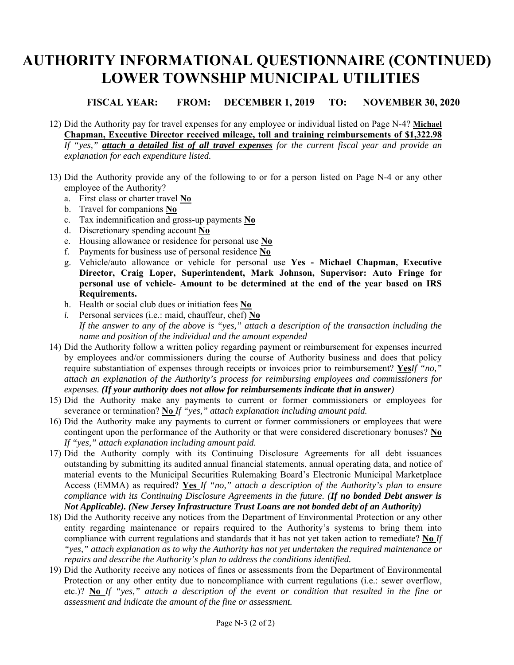# **AUTHORITY INFORMATIONAL QUESTIONNAIRE (CONTINUED) LOWER TOWNSHIP MUNICIPAL UTILITIES**

**FISCAL YEAR: FROM: DECEMBER 1, 2019 TO: NOVEMBER 30, 2020** 

- 12) Did the Authority pay for travel expenses for any employee or individual listed on Page N-4? **Michael Chapman, Executive Director received mileage, toll and training reimbursements of \$1,322.98**  *If "yes," attach a detailed list of all travel expenses for the current fiscal year and provide an explanation for each expenditure listed.*
- 13) Did the Authority provide any of the following to or for a person listed on Page N-4 or any other employee of the Authority?
	- a. First class or charter travel **No**
	- b. Travel for companions **No**
	- c. Tax indemnification and gross-up payments **No**
	- d. Discretionary spending account **No**
	- e. Housing allowance or residence for personal use **No**
	- f. Payments for business use of personal residence **No**
	- g. Vehicle/auto allowance or vehicle for personal use **Yes Michael Chapman, Executive Director, Craig Loper, Superintendent, Mark Johnson, Supervisor: Auto Fringe for personal use of vehicle- Amount to be determined at the end of the year based on IRS Requirements.**
	- h. Health or social club dues or initiation fees **No**
	- *i.* Personal services (i.e.: maid, chauffeur, chef) **No** *If the answer to any of the above is "yes," attach a description of the transaction including the name and position of the individual and the amount expended*
- 14) Did the Authority follow a written policy regarding payment or reimbursement for expenses incurred by employees and/or commissioners during the course of Authority business and does that policy require substantiation of expenses through receipts or invoices prior to reimbursement? **Yes***If "no," attach an explanation of the Authority's process for reimbursing employees and commissioners for expenses. (If your authority does not allow for reimbursements indicate that in answer)*
- 15) Did the Authority make any payments to current or former commissioners or employees for severance or termination? **No** *If "yes," attach explanation including amount paid.*
- 16) Did the Authority make any payments to current or former commissioners or employees that were contingent upon the performance of the Authority or that were considered discretionary bonuses? **No**  *If "yes," attach explanation including amount paid.*
- 17) Did the Authority comply with its Continuing Disclosure Agreements for all debt issuances outstanding by submitting its audited annual financial statements, annual operating data, and notice of material events to the Municipal Securities Rulemaking Board's Electronic Municipal Marketplace Access (EMMA) as required? **Yes** *If "no," attach a description of the Authority's plan to ensure compliance with its Continuing Disclosure Agreements in the future. (If no bonded Debt answer is Not Applicable). (New Jersey Infrastructure Trust Loans are not bonded debt of an Authority)*
- 18) Did the Authority receive any notices from the Department of Environmental Protection or any other entity regarding maintenance or repairs required to the Authority's systems to bring them into compliance with current regulations and standards that it has not yet taken action to remediate? **No** *If "yes," attach explanation as to why the Authority has not yet undertaken the required maintenance or repairs and describe the Authority's plan to address the conditions identified.*
- 19) Did the Authority receive any notices of fines or assessments from the Department of Environmental Protection or any other entity due to noncompliance with current regulations (i.e.: sewer overflow, etc.)? **No** *If "yes," attach a description of the event or condition that resulted in the fine or assessment and indicate the amount of the fine or assessment.*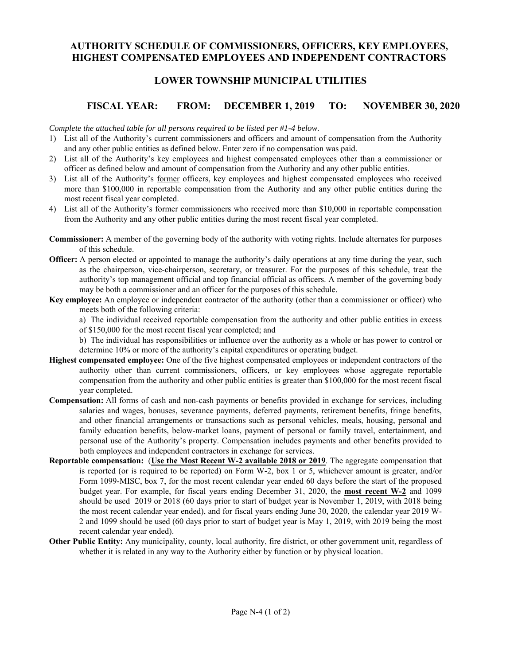### **AUTHORITY SCHEDULE OF COMMISSIONERS, OFFICERS, KEY EMPLOYEES, HIGHEST COMPENSATED EMPLOYEES AND INDEPENDENT CONTRACTORS**

#### **LOWER TOWNSHIP MUNICIPAL UTILITIES**

#### **FISCAL YEAR: FROM: DECEMBER 1, 2019 TO: NOVEMBER 30, 2020**

*Complete the attached table for all persons required to be listed per #1-4 below.* 

- 1) List all of the Authority's current commissioners and officers and amount of compensation from the Authority and any other public entities as defined below. Enter zero if no compensation was paid.
- 2) List all of the Authority's key employees and highest compensated employees other than a commissioner or officer as defined below and amount of compensation from the Authority and any other public entities.
- 3) List all of the Authority's former officers, key employees and highest compensated employees who received more than \$100,000 in reportable compensation from the Authority and any other public entities during the most recent fiscal year completed.
- 4) List all of the Authority's former commissioners who received more than \$10,000 in reportable compensation from the Authority and any other public entities during the most recent fiscal year completed.
- **Commissioner:** A member of the governing body of the authority with voting rights. Include alternates for purposes of this schedule.
- **Officer:** A person elected or appointed to manage the authority's daily operations at any time during the year, such as the chairperson, vice-chairperson, secretary, or treasurer. For the purposes of this schedule, treat the authority's top management official and top financial official as officers. A member of the governing body may be both a commissioner and an officer for the purposes of this schedule.
- **Key employee:** An employee or independent contractor of the authority (other than a commissioner or officer) who meets both of the following criteria:

a) The individual received reportable compensation from the authority and other public entities in excess

of \$150,000 for the most recent fiscal year completed; and

b) The individual has responsibilities or influence over the authority as a whole or has power to control or determine 10% or more of the authority's capital expenditures or operating budget.

- **Highest compensated employee:** One of the five highest compensated employees or independent contractors of the authority other than current commissioners, officers, or key employees whose aggregate reportable compensation from the authority and other public entities is greater than \$100,000 for the most recent fiscal year completed.
- **Compensation:** All forms of cash and non-cash payments or benefits provided in exchange for services, including salaries and wages, bonuses, severance payments, deferred payments, retirement benefits, fringe benefits, and other financial arrangements or transactions such as personal vehicles, meals, housing, personal and family education benefits, below-market loans, payment of personal or family travel, entertainment, and personal use of the Authority's property. Compensation includes payments and other benefits provided to both employees and independent contractors in exchange for services.
- **Reportable compensation:** (**Use the Most Recent W-2 available 2018 or 2019**. The aggregate compensation that is reported (or is required to be reported) on Form W-2, box 1 or 5, whichever amount is greater, and/or Form 1099-MISC, box 7, for the most recent calendar year ended 60 days before the start of the proposed budget year. For example, for fiscal years ending December 31, 2020, the **most recent W-2** and 1099 should be used 2019 or 2018 (60 days prior to start of budget year is November 1, 2019, with 2018 being the most recent calendar year ended), and for fiscal years ending June 30, 2020, the calendar year 2019 W-2 and 1099 should be used (60 days prior to start of budget year is May 1, 2019, with 2019 being the most recent calendar year ended).
- **Other Public Entity:** Any municipality, county, local authority, fire district, or other government unit, regardless of whether it is related in any way to the Authority either by function or by physical location.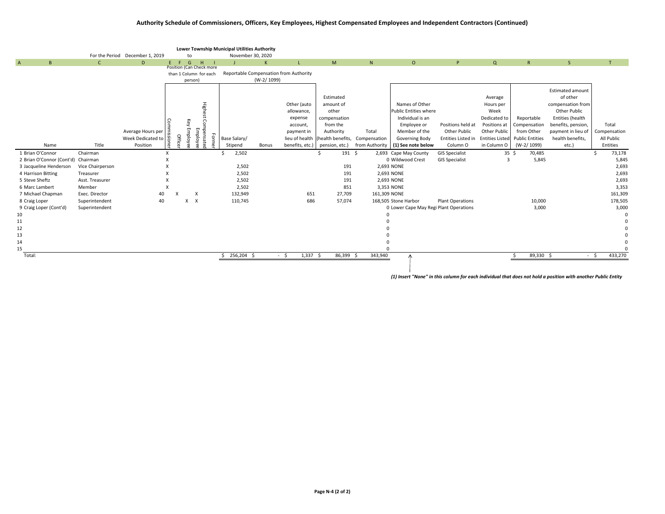#### Authority Schedule of Commissioners, Officers, Key Employees, Highest Compensated Employees and Independent Contractors (Continued)

| For the Period December 1, 2019<br>November 30, 2020<br>to<br>$\overline{A}$<br>$\mathsf{B}$<br>H<br>N<br>$\mathsf{C}$<br>$E$ $F$ $G$<br>$\mathsf{K}$<br>M<br>$\circ$<br>$\alpha$<br>S<br>D<br>P<br>R<br>$\blacksquare$<br>- 11<br>Position (Can Check more                                                 | T               |
|-------------------------------------------------------------------------------------------------------------------------------------------------------------------------------------------------------------------------------------------------------------------------------------------------------------|-----------------|
|                                                                                                                                                                                                                                                                                                             |                 |
|                                                                                                                                                                                                                                                                                                             |                 |
| Reportable Compensation from Authority                                                                                                                                                                                                                                                                      |                 |
| than 1 Column for each<br>$(W-2/1099)$<br>person)                                                                                                                                                                                                                                                           |                 |
|                                                                                                                                                                                                                                                                                                             |                 |
| <b>Estimated amount</b>                                                                                                                                                                                                                                                                                     |                 |
| of other<br>Estimated<br>Average                                                                                                                                                                                                                                                                            |                 |
| <b>Highe</b><br>Names of Other<br>Other (auto<br>compensation from<br>amount of<br>Hours per                                                                                                                                                                                                                |                 |
| Other Public<br>other<br>Public Entities where<br>allowance,<br>Week                                                                                                                                                                                                                                        |                 |
| Individual is an<br>Entities (health<br>compensation<br>Dedicated to<br>expense<br>Reportable                                                                                                                                                                                                               |                 |
| Key<br>Positions at<br>from the<br>Employee or<br>Positions held at<br>Compensation<br>benefits, pension,<br>account,                                                                                                                                                                                       | Total           |
| Other Public<br>Other Public<br>from Other<br>payment in lieu of<br>Authority<br>Total<br>Member of the<br>payment in                                                                                                                                                                                       | Compensation    |
| .<br>Employee<br>Sempensate<br>Employe<br>Average Hours per<br>Week Dedicated to<br>Position<br>Offic<br>orme <sup>-</sup><br>lieu of health (health benefits, Compensation<br><b>Entities Listed</b><br><b>Public Entities</b><br>health benefits,<br>Base Salary/<br>Governing Body<br>Entities Listed in | All Public      |
| Position<br>(W-2/1099)<br>Title<br>Bonus<br>Column O<br>in Column O<br>Name<br>Stipend<br>benefits, etc.)<br>pension, etc.)<br>from Authority<br>(1) See note below<br>etc.)                                                                                                                                | Entities        |
| 1 Brian O'Connor<br>2,502<br>$191 \quad $5$<br><b>GIS Specialist</b><br>$35 \frac{2}{3}$<br>Chairman<br>X<br>2,693 Cape May County<br>70,485                                                                                                                                                                | 73,178          |
| 5,845<br>2 Brian O'Connor (Cont'd) Chairman<br>0 Wildwood Crest<br><b>GIS Specialist</b><br>$\overline{3}$                                                                                                                                                                                                  | 5,845           |
| Vice Chairperson<br>2,502<br>191<br>2,693 NONE<br>3 Jacqueline Henderson                                                                                                                                                                                                                                    | 2,693           |
| 2,502<br>191<br>4 Harrison Bitting<br>2,693 NONE<br>Treasurer                                                                                                                                                                                                                                               | 2,693           |
| 5 Steve Sheftz<br>2,502<br>Asst. Treasurer<br>191<br>2,693 NONE                                                                                                                                                                                                                                             | 2,693           |
| 2,502<br>Member<br>851<br>3,353 NONE<br>6 Marc Lambert                                                                                                                                                                                                                                                      | 3,353           |
| 40<br>132,949<br>651<br>27,709<br>161,309 NONE<br>7 Michael Chapman<br>Exec. Director<br>$\times$<br>X                                                                                                                                                                                                      | 161,309         |
| 686<br>8 Craig Loper<br>40<br>$\boldsymbol{\mathsf{X}}$<br>57,074<br>10,000<br>Superintendent<br>110,745<br>168,505 Stone Harbor<br><b>Plant Operations</b><br>x                                                                                                                                            | 178,505         |
| 9 Craig Loper (Cont'd)<br>0 Lower Cape May Regi Plant Operations<br>3,000<br>Superintendent                                                                                                                                                                                                                 | 3,000           |
| 10                                                                                                                                                                                                                                                                                                          |                 |
| 11                                                                                                                                                                                                                                                                                                          |                 |
| 12                                                                                                                                                                                                                                                                                                          |                 |
| 13                                                                                                                                                                                                                                                                                                          |                 |
| 14                                                                                                                                                                                                                                                                                                          |                 |
| 15                                                                                                                                                                                                                                                                                                          |                 |
| $1,337$ \$<br>86,399 \$<br>$$256,204$ \$<br>89,330 \$<br>Total:<br>$-5$<br>343,940                                                                                                                                                                                                                          | $-5$<br>433,270 |
|                                                                                                                                                                                                                                                                                                             |                 |

(1) Insert "None" in this column for each individual that does not hold a position with another Public Entity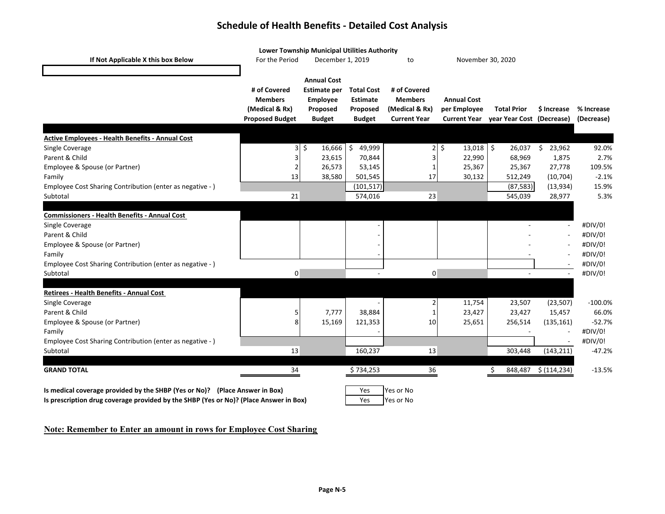### **Schedule of Health Benefits ‐ Detailed Cost Analysis**

|                                                                             | Lower Township Municipal Utilities Authority |                             |                   |                                       |                                |                                                              |                         |                          |  |
|-----------------------------------------------------------------------------|----------------------------------------------|-----------------------------|-------------------|---------------------------------------|--------------------------------|--------------------------------------------------------------|-------------------------|--------------------------|--|
| If Not Applicable X this box Below                                          | For the Period                               | December 1, 2019            |                   | to                                    |                                | November 30, 2020                                            |                         |                          |  |
|                                                                             |                                              |                             |                   |                                       |                                |                                                              |                         |                          |  |
|                                                                             |                                              | <b>Annual Cost</b>          |                   |                                       |                                |                                                              |                         |                          |  |
|                                                                             | # of Covered                                 | <b>Estimate per</b>         | <b>Total Cost</b> | # of Covered                          |                                |                                                              |                         |                          |  |
|                                                                             | <b>Members</b>                               | Employee                    | <b>Estimate</b>   | <b>Members</b>                        | <b>Annual Cost</b>             |                                                              |                         |                          |  |
|                                                                             | (Medical & Rx)<br><b>Proposed Budget</b>     | Proposed<br><b>Budget</b>   | Proposed          | (Medical & Rx)<br><b>Current Year</b> | per Employee                   | <b>Total Prior</b><br>Current Year year Year Cost (Decrease) | \$ Increase             | % Increase<br>(Decrease) |  |
|                                                                             |                                              |                             | <b>Budget</b>     |                                       |                                |                                                              |                         |                          |  |
| <b>Active Employees - Health Benefits - Annual Cost</b>                     |                                              |                             |                   |                                       |                                |                                                              |                         |                          |  |
| Single Coverage                                                             |                                              | $3\overline{\ }5$<br>16,666 | \$<br>49,999      |                                       | $2\overline{5}$<br>$13,018$ \$ | 26,037                                                       | $\frac{1}{2}$<br>23,962 | 92.0%                    |  |
| Parent & Child                                                              |                                              | 23,615                      | 70,844            | 3                                     | 22,990                         | 68,969                                                       | 1,875                   | 2.7%                     |  |
| Employee & Spouse (or Partner)                                              | 2                                            | 26,573                      | 53,145            | $\mathbf{1}$                          | 25,367                         | 25,367                                                       | 27,778                  | 109.5%                   |  |
| Family                                                                      | 13                                           | 38,580                      | 501,545           | 17                                    | 30,132                         | 512,249                                                      | (10, 704)               | $-2.1%$                  |  |
| Employee Cost Sharing Contribution (enter as negative -)                    |                                              |                             | (101, 517)        |                                       |                                | (87, 583)                                                    | (13,934)                | 15.9%                    |  |
| Subtotal                                                                    | 21                                           |                             | 574,016           | 23                                    |                                | 545,039                                                      | 28,977                  | 5.3%                     |  |
|                                                                             |                                              |                             |                   |                                       |                                |                                                              |                         |                          |  |
| <b>Commissioners - Health Benefits - Annual Cost</b>                        |                                              |                             |                   |                                       |                                |                                                              |                         |                          |  |
| Single Coverage                                                             |                                              |                             |                   |                                       |                                |                                                              |                         | #DIV/0!                  |  |
| Parent & Child                                                              |                                              |                             |                   |                                       |                                |                                                              |                         | #DIV/0!                  |  |
| Employee & Spouse (or Partner)                                              |                                              |                             |                   |                                       |                                |                                                              |                         | #DIV/0!                  |  |
| Family                                                                      |                                              |                             |                   |                                       |                                |                                                              |                         | #DIV/0!                  |  |
| Employee Cost Sharing Contribution (enter as negative -)                    |                                              |                             |                   |                                       |                                |                                                              |                         | #DIV/0!                  |  |
| Subtotal                                                                    | 0                                            |                             |                   | 0                                     |                                | $\sim$                                                       | $\sim$                  | #DIV/0!                  |  |
|                                                                             |                                              |                             |                   |                                       |                                |                                                              |                         |                          |  |
| Retirees - Health Benefits - Annual Cost                                    |                                              |                             |                   |                                       |                                |                                                              |                         |                          |  |
| Single Coverage                                                             |                                              |                             |                   | $\mathbf 2$                           | 11,754                         | 23,507                                                       | (23, 507)               | $-100.0%$                |  |
| Parent & Child                                                              |                                              | 7,777                       | 38,884            | $\mathbf{1}$                          | 23,427                         | 23,427                                                       | 15,457                  | 66.0%                    |  |
| Employee & Spouse (or Partner)                                              |                                              | 15,169                      | 121,353           | 10                                    | 25,651                         | 256,514                                                      | (135, 161)              | $-52.7%$                 |  |
| Family                                                                      |                                              |                             |                   |                                       |                                |                                                              |                         | #DIV/0!                  |  |
| Employee Cost Sharing Contribution (enter as negative -)                    |                                              |                             |                   |                                       |                                |                                                              |                         | #DIV/0!                  |  |
| Subtotal                                                                    | 13                                           |                             | 160,237           | 13                                    |                                | 303,448                                                      | (143, 211)              | $-47.2%$                 |  |
| <b>GRAND TOTAL</b>                                                          | 34                                           |                             | \$734,253         | 36                                    |                                | \$.<br>848,487                                               | \$ (114, 234)           | $-13.5%$                 |  |
|                                                                             |                                              |                             |                   |                                       |                                |                                                              |                         |                          |  |
| Is medical coverage provided by the SHBP (Yes or No)? (Place Answer in Box) |                                              |                             | Yes               | Yes or No                             |                                |                                                              |                         |                          |  |

**Is prescription drug coverage provided by the SHBP (Yes or No)? (Place Answer in Box)**

### Yes Yes or No

#### **Note: Remember to Enter an amount in rows for Employee Cost Sharing**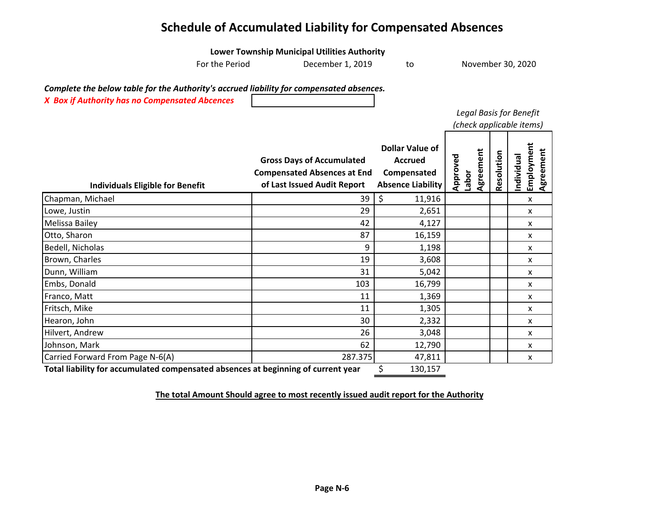### **Schedule of Accumulated Liability for Compensated Absences**

|                                                                                                                                            | <b>Lower Township Municipal Utilities Authority</b>                                                   |                                                                                     |                                |            |                                       |  |
|--------------------------------------------------------------------------------------------------------------------------------------------|-------------------------------------------------------------------------------------------------------|-------------------------------------------------------------------------------------|--------------------------------|------------|---------------------------------------|--|
| For the Period                                                                                                                             | December 1, 2019                                                                                      | to                                                                                  | November 30, 2020              |            |                                       |  |
| Complete the below table for the Authority's accrued liability for compensated absences.<br>X Box if Authority has no Compensated Abcences |                                                                                                       |                                                                                     | Legal Basis for Benefit        |            | (check applicable items)              |  |
| <b>Individuals Eligible for Benefit</b>                                                                                                    | <b>Gross Days of Accumulated</b><br><b>Compensated Absences at End</b><br>of Last Issued Audit Report | <b>Dollar Value of</b><br><b>Accrued</b><br>Compensated<br><b>Absence Liability</b> | Agreement<br>Approved<br>Labor | Resolution | Employment<br>Agreement<br>Individual |  |
| Chapman, Michael                                                                                                                           | 39                                                                                                    | \$<br>11,916                                                                        |                                |            | x                                     |  |
| Lowe, Justin                                                                                                                               | 29                                                                                                    | 2,651                                                                               |                                |            | x                                     |  |
| Melissa Bailey                                                                                                                             | 42                                                                                                    | 4,127                                                                               |                                |            | x                                     |  |
| Otto, Sharon                                                                                                                               | 87                                                                                                    | 16,159                                                                              |                                |            | x                                     |  |
| Bedell, Nicholas                                                                                                                           | 9                                                                                                     | 1,198                                                                               |                                |            | x                                     |  |
| Brown, Charles                                                                                                                             | 19                                                                                                    | 3,608                                                                               |                                |            | x                                     |  |
| Dunn, William                                                                                                                              | 31                                                                                                    | 5,042                                                                               |                                |            | X                                     |  |
| Embs, Donald                                                                                                                               | 103                                                                                                   | 16,799                                                                              |                                |            | x                                     |  |
| Franco, Matt                                                                                                                               | 11                                                                                                    | 1,369                                                                               |                                |            | x                                     |  |
| Fritsch, Mike                                                                                                                              | 11                                                                                                    | 1,305                                                                               |                                |            | x                                     |  |
| Hearon, John                                                                                                                               | 30                                                                                                    | 2,332                                                                               |                                |            | x                                     |  |
| Hilvert, Andrew                                                                                                                            | 26                                                                                                    | 3,048                                                                               |                                |            | x                                     |  |
| Johnson, Mark                                                                                                                              | 62                                                                                                    | 12,790                                                                              |                                |            | x                                     |  |
| Carried Forward From Page N-6(A)                                                                                                           | 287.375                                                                                               | 47,811                                                                              |                                |            | x                                     |  |
| Total liability for accumulated compensated absences at beginning of current year                                                          |                                                                                                       | \$<br>130,157                                                                       |                                |            |                                       |  |

**The total Amount Should agree to most recently issued audit report for the Authority**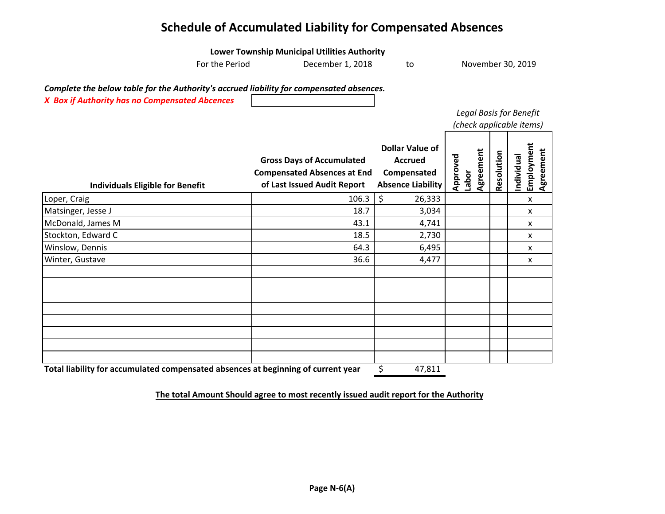### **Schedule of Accumulated Liability for Compensated Absences**

|                                                                                          | <b>Lower Township Municipal Utilities Authority</b>               |                                         |                                |            |                                      |
|------------------------------------------------------------------------------------------|-------------------------------------------------------------------|-----------------------------------------|--------------------------------|------------|--------------------------------------|
| For the Period                                                                           | December 1, 2018                                                  | to                                      |                                |            | November 30, 2019                    |
| Complete the below table for the Authority's accrued liability for compensated absences. |                                                                   |                                         |                                |            |                                      |
| X Box if Authority has no Compensated Abcences                                           |                                                                   |                                         |                                |            |                                      |
|                                                                                          |                                                                   |                                         | Legal Basis for Benefit        |            |                                      |
|                                                                                          |                                                                   |                                         |                                |            | (check applicable items)             |
|                                                                                          |                                                                   | <b>Dollar Value of</b>                  |                                |            |                                      |
|                                                                                          |                                                                   | <b>Accrued</b>                          |                                |            |                                      |
|                                                                                          | <b>Gross Days of Accumulated</b>                                  |                                         |                                |            |                                      |
|                                                                                          | <b>Compensated Absences at End</b><br>of Last Issued Audit Report | Compensated<br><b>Absence Liability</b> | Agreement<br>Approved<br>Labor | Resolution | Employment<br>Agreement<br>ndividual |
| <b>Individuals Eligible for Benefit</b>                                                  |                                                                   |                                         |                                |            |                                      |
| Loper, Craig                                                                             | 106.3                                                             | \$<br>26,333                            |                                |            | X                                    |
| Matsinger, Jesse J                                                                       | 18.7                                                              | 3,034                                   |                                |            | x                                    |
| McDonald, James M                                                                        | 43.1                                                              | 4,741                                   |                                |            | X                                    |
| Stockton, Edward C                                                                       | 18.5                                                              | 2,730                                   |                                |            | x                                    |
| Winslow, Dennis                                                                          | 64.3                                                              | 6,495                                   |                                |            | X                                    |
| Winter, Gustave                                                                          | 36.6                                                              | 4,477                                   |                                |            | x                                    |
|                                                                                          |                                                                   |                                         |                                |            |                                      |
|                                                                                          |                                                                   |                                         |                                |            |                                      |
|                                                                                          |                                                                   |                                         |                                |            |                                      |
|                                                                                          |                                                                   |                                         |                                |            |                                      |
|                                                                                          |                                                                   |                                         |                                |            |                                      |
|                                                                                          |                                                                   |                                         |                                |            |                                      |
|                                                                                          |                                                                   |                                         |                                |            |                                      |
|                                                                                          |                                                                   |                                         |                                |            |                                      |
| Total liability for accumulated compensated absences at beginning of current year        |                                                                   | \$<br>47,811                            |                                |            |                                      |

**The total Amount Should agree to most recently issued audit report for the Authority**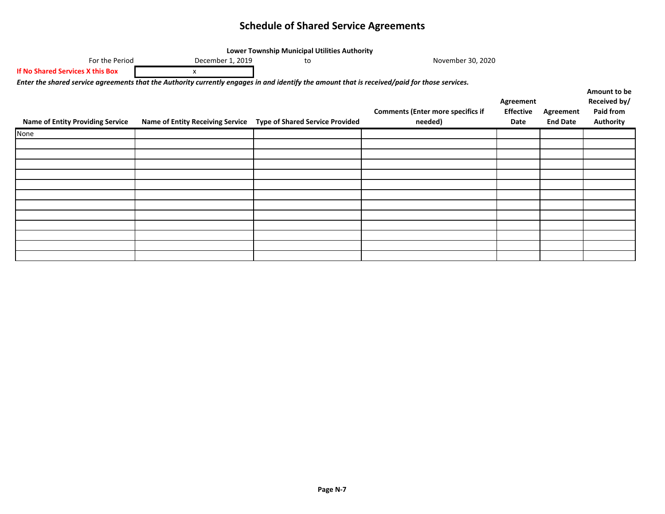#### **Schedule of Shared Service Agreements**

| Lower Township Municipal Utilities Authority                                                                                                  |                                         |                                        |                                                     |                                       |                              |                                                               |  |  |  |  |  |  |
|-----------------------------------------------------------------------------------------------------------------------------------------------|-----------------------------------------|----------------------------------------|-----------------------------------------------------|---------------------------------------|------------------------------|---------------------------------------------------------------|--|--|--|--|--|--|
| For the Period                                                                                                                                | December 1, 2019                        | to                                     | November 30, 2020                                   |                                       |                              |                                                               |  |  |  |  |  |  |
| If No Shared Services X this Box                                                                                                              | x                                       |                                        |                                                     |                                       |                              |                                                               |  |  |  |  |  |  |
| Enter the shared service agreements that the Authority currently engages in and identify the amount that is received/paid for those services. |                                         |                                        |                                                     |                                       |                              |                                                               |  |  |  |  |  |  |
| <b>Name of Entity Providing Service</b>                                                                                                       | <b>Name of Entity Receiving Service</b> | <b>Type of Shared Service Provided</b> | <b>Comments (Enter more specifics if</b><br>needed) | Agreement<br><b>Effective</b><br>Date | Agreement<br><b>End Date</b> | Amount to be<br>Received by/<br>Paid from<br><b>Authority</b> |  |  |  |  |  |  |
| None                                                                                                                                          |                                         |                                        |                                                     |                                       |                              |                                                               |  |  |  |  |  |  |
|                                                                                                                                               |                                         |                                        |                                                     |                                       |                              |                                                               |  |  |  |  |  |  |
|                                                                                                                                               |                                         |                                        |                                                     |                                       |                              |                                                               |  |  |  |  |  |  |
|                                                                                                                                               |                                         |                                        |                                                     |                                       |                              |                                                               |  |  |  |  |  |  |
|                                                                                                                                               |                                         |                                        |                                                     |                                       |                              |                                                               |  |  |  |  |  |  |
|                                                                                                                                               |                                         |                                        |                                                     |                                       |                              |                                                               |  |  |  |  |  |  |
|                                                                                                                                               |                                         |                                        |                                                     |                                       |                              |                                                               |  |  |  |  |  |  |
|                                                                                                                                               |                                         |                                        |                                                     |                                       |                              |                                                               |  |  |  |  |  |  |
|                                                                                                                                               |                                         |                                        |                                                     |                                       |                              |                                                               |  |  |  |  |  |  |
|                                                                                                                                               |                                         |                                        |                                                     |                                       |                              |                                                               |  |  |  |  |  |  |
|                                                                                                                                               |                                         |                                        |                                                     |                                       |                              |                                                               |  |  |  |  |  |  |
|                                                                                                                                               |                                         |                                        |                                                     |                                       |                              |                                                               |  |  |  |  |  |  |
|                                                                                                                                               |                                         |                                        |                                                     |                                       |                              |                                                               |  |  |  |  |  |  |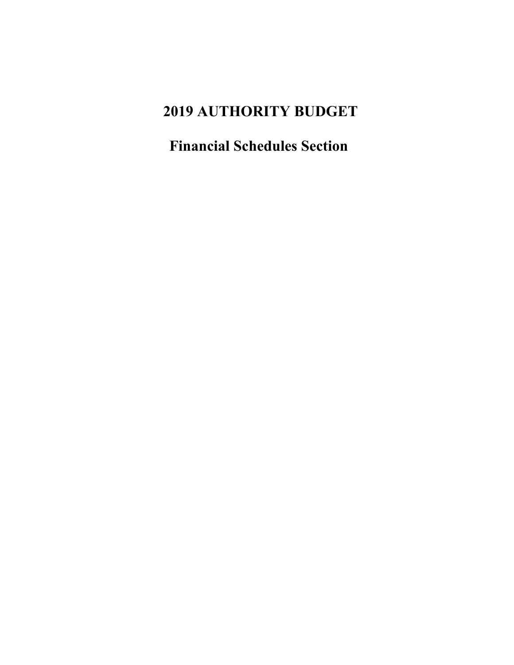# **2019 AUTHORITY BUDGET**

**Financial Schedules Section**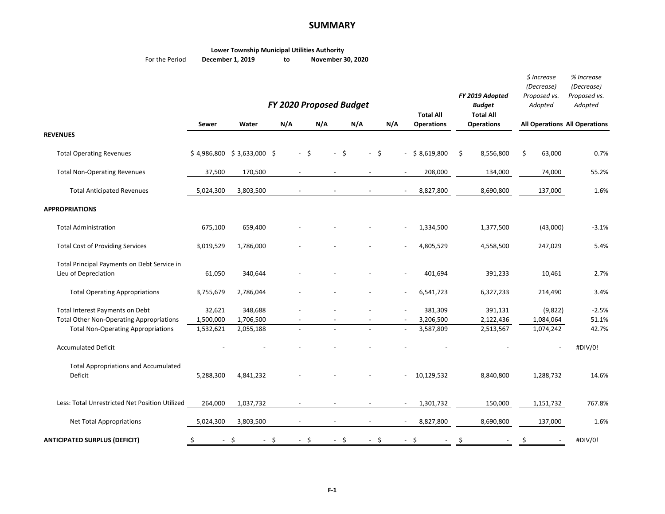#### **SUMMARY**

|                | <b>Lower Township Municipal Utilities Authority</b> |    |                   |
|----------------|-----------------------------------------------------|----|-------------------|
| For the Period | December 1, 2019                                    | to | November 30, 2020 |

|                                                                                                                                 |                                  |                                   |                          | FY 2020 Proposed Budget  |                          |                          |                                       | FY 2019 Adopted<br><b>Budget</b>      | $$$ Increase<br>(Decrease)<br>Proposed vs.<br>Adopted | % Increase<br>(Decrease)<br>Proposed vs.<br>Adopted |
|---------------------------------------------------------------------------------------------------------------------------------|----------------------------------|-----------------------------------|--------------------------|--------------------------|--------------------------|--------------------------|---------------------------------------|---------------------------------------|-------------------------------------------------------|-----------------------------------------------------|
|                                                                                                                                 | <b>Sewer</b>                     | Water                             | N/A                      | N/A                      | N/A                      | N/A                      | <b>Total All</b><br><b>Operations</b> | <b>Total All</b><br><b>Operations</b> | <b>All Operations All Operations</b>                  |                                                     |
| <b>REVENUES</b>                                                                                                                 |                                  |                                   |                          |                          |                          |                          |                                       |                                       |                                                       |                                                     |
| <b>Total Operating Revenues</b>                                                                                                 |                                  | $$4,986,800 \ $3,633,000 \ $$     | $-$ \$                   | $-$ \$                   | $-5$                     |                          | $-$ \$ 8,619,800                      | \$<br>8,556,800                       | \$<br>63,000                                          | 0.7%                                                |
| <b>Total Non-Operating Revenues</b>                                                                                             | 37,500                           | 170,500                           | $\overline{a}$           | $\sim$                   | $\overline{a}$           | $\overline{a}$           | 208,000                               | 134,000                               | 74,000                                                | 55.2%                                               |
| <b>Total Anticipated Revenues</b>                                                                                               | 5,024,300                        | 3,803,500                         |                          |                          |                          |                          | 8,827,800                             | 8,690,800                             | 137,000                                               | 1.6%                                                |
| <b>APPROPRIATIONS</b>                                                                                                           |                                  |                                   |                          |                          |                          |                          |                                       |                                       |                                                       |                                                     |
| <b>Total Administration</b>                                                                                                     | 675,100                          | 659,400                           |                          |                          |                          |                          | 1,334,500                             | 1,377,500                             | (43,000)                                              | $-3.1%$                                             |
| <b>Total Cost of Providing Services</b>                                                                                         | 3,019,529                        | 1,786,000                         |                          |                          |                          |                          | 4,805,529                             | 4,558,500                             | 247,029                                               | 5.4%                                                |
| Total Principal Payments on Debt Service in<br>Lieu of Depreciation                                                             | 61,050                           | 340,644                           |                          | $\overline{\phantom{a}}$ | $\overline{\phantom{a}}$ | $\blacksquare$           | 401,694                               | 391,233                               | 10,461                                                | 2.7%                                                |
| <b>Total Operating Appropriations</b>                                                                                           | 3,755,679                        | 2,786,044                         |                          |                          |                          |                          | 6,541,723                             | 6,327,233                             | 214,490                                               | 3.4%                                                |
| Total Interest Payments on Debt<br><b>Total Other Non-Operating Appropriations</b><br><b>Total Non-Operating Appropriations</b> | 32,621<br>1,500,000<br>1,532,621 | 348,688<br>1,706,500<br>2,055,188 |                          |                          |                          |                          | 381,309<br>3,206,500<br>3,587,809     | 391,131<br>2,122,436<br>2,513,567     | (9,822)<br>1,084,064<br>1,074,242                     | $-2.5%$<br>51.1%<br>42.7%                           |
| <b>Accumulated Deficit</b>                                                                                                      |                                  |                                   |                          |                          |                          |                          |                                       |                                       | $\overline{\phantom{a}}$                              | #DIV/0!                                             |
| <b>Total Appropriations and Accumulated</b><br>Deficit                                                                          | 5,288,300                        | 4,841,232                         |                          |                          |                          |                          | 10,129,532                            | 8,840,800                             | 1,288,732                                             | 14.6%                                               |
| Less: Total Unrestricted Net Position Utilized                                                                                  | 264,000                          | 1,037,732                         |                          |                          |                          |                          | 1,301,732                             | 150,000                               | 1,151,732                                             | 767.8%                                              |
| Net Total Appropriations                                                                                                        | 5,024,300                        | 3,803,500                         | $\overline{\phantom{a}}$ | $\overline{\phantom{a}}$ | $\overline{\phantom{a}}$ | $\overline{\phantom{a}}$ | 8,827,800                             | 8,690,800                             | 137,000                                               | 1.6%                                                |
| <b>ANTICIPATED SURPLUS (DEFICIT)</b>                                                                                            | \$<br>$\sim$                     | -\$<br>$\sim$                     | $-$ \$<br>\$             | $-$ \$                   | $-5$                     |                          | - \$                                  | \$                                    | \$                                                    | #DIV/0!                                             |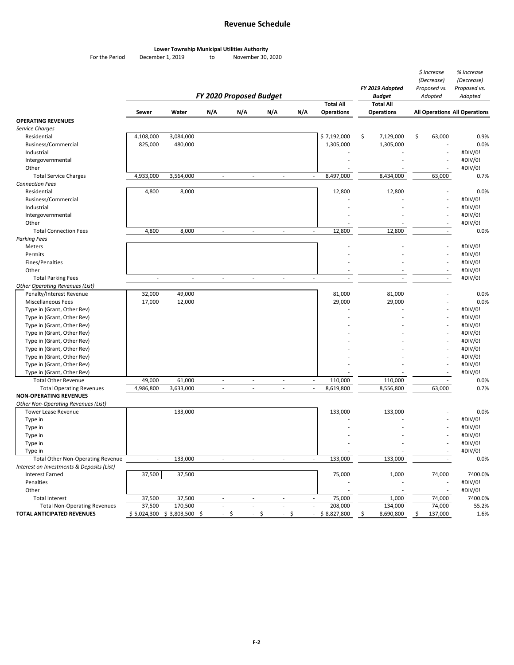#### **Revenue Schedule**

#### **Lower Township Municipal Utilities Authority**

For the Period December 1, 2019 to November 30, 2020

|                                                |                          |                            | FY 2020 Proposed Budget  | FY 2019 Adopted<br>Budget<br><b>Total All</b> |                          | $$$ Increase<br>(Decrease)<br>Proposed vs.<br>Adopted |                                                      | % Increase<br>(Decrease)<br>Proposed vs.<br>Adopted |           |    |                          |                               |
|------------------------------------------------|--------------------------|----------------------------|--------------------------|-----------------------------------------------|--------------------------|-------------------------------------------------------|------------------------------------------------------|-----------------------------------------------------|-----------|----|--------------------------|-------------------------------|
|                                                | Sewer                    | Water                      | N/A                      | N/A                                           | N/A                      | N/A                                                   | <b>Total All</b><br><b>Operations</b>                | <b>Operations</b>                                   |           |    |                          | All Operations All Operations |
| <b>OPERATING REVENUES</b>                      |                          |                            |                          |                                               |                          |                                                       |                                                      |                                                     |           |    |                          |                               |
| Service Charges                                |                          |                            |                          |                                               |                          |                                                       |                                                      |                                                     |           |    |                          |                               |
| Residential                                    | 4,108,000                | 3,084,000                  |                          |                                               |                          |                                                       | \$7,192,000                                          | \$                                                  | 7,129,000 | \$ | 63,000                   | 0.9%                          |
| Business/Commercial                            | 825,000                  | 480,000                    |                          |                                               |                          |                                                       | 1,305,000                                            |                                                     | 1,305,000 |    | ÷,                       | 0.0%                          |
| Industrial                                     |                          |                            |                          |                                               |                          |                                                       |                                                      |                                                     |           |    | $\overline{\phantom{a}}$ | #DIV/0!                       |
| Intergovernmental                              |                          |                            |                          |                                               |                          |                                                       |                                                      |                                                     |           |    |                          | #DIV/0!                       |
| Other                                          |                          |                            |                          |                                               |                          |                                                       |                                                      |                                                     |           |    |                          | #DIV/0!                       |
| <b>Total Service Charges</b>                   | 4,933,000                | 3,564,000                  | $\overline{\phantom{a}}$ | $\overline{\phantom{a}}$                      | $\overline{\phantom{a}}$ |                                                       | 8,497,000<br>$\overline{\phantom{a}}$                |                                                     | 8,434,000 |    | 63,000                   | 0.7%                          |
| <b>Connection Fees</b>                         |                          |                            |                          |                                               |                          |                                                       |                                                      |                                                     |           |    |                          |                               |
| Residential                                    | 4,800                    | 8,000                      |                          |                                               |                          |                                                       | 12,800                                               |                                                     | 12,800    |    | ÷,                       | 0.0%                          |
| Business/Commercial                            |                          |                            |                          |                                               |                          |                                                       |                                                      |                                                     |           |    |                          | #DIV/0!                       |
| Industrial                                     |                          |                            |                          |                                               |                          |                                                       |                                                      |                                                     |           |    |                          | #DIV/0!                       |
| Intergovernmental                              |                          |                            |                          |                                               |                          |                                                       |                                                      |                                                     |           |    | $\overline{\phantom{a}}$ | #DIV/0!                       |
| Other                                          |                          |                            |                          |                                               |                          |                                                       |                                                      |                                                     |           |    | $\sim$                   | #DIV/0!                       |
| <b>Total Connection Fees</b>                   | 4,800                    | 8,000                      | $\overline{\phantom{a}}$ | $\overline{\phantom{a}}$                      | $\overline{\phantom{a}}$ |                                                       | 12,800<br>$\overline{\phantom{a}}$                   |                                                     | 12,800    |    | $\sim$                   | 0.0%                          |
| <b>Parking Fees</b>                            |                          |                            |                          |                                               |                          |                                                       |                                                      |                                                     |           |    |                          |                               |
| Meters                                         |                          |                            |                          |                                               |                          |                                                       |                                                      |                                                     |           |    |                          | #DIV/0!                       |
| Permits                                        |                          |                            |                          |                                               |                          |                                                       |                                                      |                                                     |           |    | $\overline{a}$           | #DIV/0!                       |
| Fines/Penalties                                |                          |                            |                          |                                               |                          |                                                       |                                                      |                                                     |           |    |                          | #DIV/0!                       |
| Other                                          |                          |                            |                          |                                               |                          |                                                       |                                                      |                                                     |           |    | $\overline{\phantom{a}}$ |                               |
| <b>Total Parking Fees</b>                      |                          | $\overline{\phantom{a}}$   |                          | ٠                                             |                          |                                                       |                                                      |                                                     |           |    |                          | #DIV/0!                       |
|                                                | $\overline{\phantom{a}}$ |                            | $\overline{\phantom{a}}$ |                                               | $\overline{\phantom{a}}$ |                                                       | $\overline{\phantom{a}}$<br>$\overline{\phantom{a}}$ |                                                     |           |    | $\sim$                   | #DIV/0!                       |
| <b>Other Operating Revenues (List)</b>         |                          |                            |                          |                                               |                          |                                                       |                                                      |                                                     |           |    |                          |                               |
| Penalty/Interest Revenue<br>Miscellaneous Fees | 32,000                   | 49,000                     |                          |                                               |                          |                                                       | 81,000                                               |                                                     | 81,000    |    |                          | 0.0%<br>0.0%                  |
|                                                | 17,000                   | 12,000                     |                          |                                               |                          |                                                       | 29,000                                               |                                                     | 29,000    |    |                          |                               |
| Type in (Grant, Other Rev)                     |                          |                            |                          |                                               |                          |                                                       |                                                      |                                                     |           |    |                          | #DIV/0!                       |
| Type in (Grant, Other Rev)                     |                          |                            |                          |                                               |                          |                                                       |                                                      |                                                     |           |    |                          | #DIV/0!                       |
| Type in (Grant, Other Rev)                     |                          |                            |                          |                                               |                          |                                                       |                                                      |                                                     |           |    |                          | #DIV/0!                       |
| Type in (Grant, Other Rev)                     |                          |                            |                          |                                               |                          |                                                       |                                                      |                                                     |           |    |                          | #DIV/0!                       |
| Type in (Grant, Other Rev)                     |                          |                            |                          |                                               |                          |                                                       |                                                      |                                                     |           |    |                          | #DIV/0!                       |
| Type in (Grant, Other Rev)                     |                          |                            |                          |                                               |                          |                                                       |                                                      |                                                     |           |    |                          | #DIV/0!                       |
| Type in (Grant, Other Rev)                     |                          |                            |                          |                                               |                          |                                                       |                                                      |                                                     |           |    |                          | #DIV/0!                       |
| Type in (Grant, Other Rev)                     |                          |                            |                          |                                               |                          |                                                       |                                                      |                                                     |           |    |                          | #DIV/0!                       |
| Type in (Grant, Other Rev)                     |                          |                            |                          |                                               |                          |                                                       |                                                      |                                                     |           |    |                          | #DIV/0!                       |
| <b>Total Other Revenue</b>                     | 49,000                   | 61,000                     | $\overline{\phantom{a}}$ | $\sim$                                        | $\overline{\phantom{a}}$ |                                                       | 110,000<br>$\sim$                                    |                                                     | 110,000   |    | $\sim$                   | 0.0%                          |
| <b>Total Operating Revenues</b>                | 4,986,800                | 3,633,000                  | $\overline{\phantom{a}}$ | ٠                                             | ٠                        |                                                       | 8,619,800<br>$\sim$                                  |                                                     | 8,556,800 |    | 63,000                   | 0.7%                          |
| <b>NON-OPERATING REVENUES</b>                  |                          |                            |                          |                                               |                          |                                                       |                                                      |                                                     |           |    |                          |                               |
| Other Non-Operating Revenues (List)            |                          |                            |                          |                                               |                          |                                                       |                                                      |                                                     |           |    |                          |                               |
| <b>Tower Lease Revenue</b>                     |                          | 133,000                    |                          |                                               |                          |                                                       | 133,000                                              |                                                     | 133,000   |    |                          | 0.0%                          |
| Type in                                        |                          |                            |                          |                                               |                          |                                                       |                                                      |                                                     |           |    |                          | #DIV/0!                       |
| Type in                                        |                          |                            |                          |                                               |                          |                                                       |                                                      |                                                     |           |    |                          | #DIV/0!                       |
| Type in                                        |                          |                            |                          |                                               |                          |                                                       |                                                      |                                                     |           |    |                          | #DIV/0!                       |
| Type in                                        |                          |                            |                          |                                               |                          |                                                       |                                                      |                                                     |           |    |                          | #DIV/0!                       |
| Type in                                        |                          |                            |                          |                                               |                          |                                                       |                                                      |                                                     |           |    |                          | #DIV/0!                       |
| <b>Total Other Non-Operating Revenue</b>       |                          | 133,000                    |                          |                                               |                          |                                                       | 133,000                                              |                                                     | 133,000   |    |                          | 0.0%                          |
| Interest on Investments & Deposits (List)      |                          |                            |                          |                                               |                          |                                                       |                                                      |                                                     |           |    |                          |                               |
| <b>Interest Earned</b>                         | 37,500                   | 37,500                     |                          |                                               |                          |                                                       | 75,000                                               |                                                     | 1,000     |    | 74,000                   | 7400.0%                       |
| Penalties                                      |                          |                            |                          |                                               |                          |                                                       |                                                      |                                                     |           |    | $\overline{a}$           | #DIV/0!                       |
| Other                                          |                          |                            |                          |                                               |                          |                                                       |                                                      |                                                     |           |    |                          | #DIV/0!                       |
| <b>Total Interest</b>                          | 37,500                   | 37,500                     | $\overline{\phantom{a}}$ | $\overline{\phantom{a}}$                      | $\overline{\phantom{a}}$ |                                                       | 75,000<br>$\overline{\phantom{a}}$                   |                                                     | 1,000     |    | 74,000                   | 7400.0%                       |
| <b>Total Non-Operating Revenues</b>            | 37,500                   | 170,500                    | $\blacksquare$           | $\overline{\phantom{a}}$                      | $\overline{\phantom{a}}$ |                                                       | 208,000<br>$\overline{\phantom{a}}$                  |                                                     | 134,000   |    | 74,000                   | 55.2%                         |
| TOTAL ANTICIPATED REVENUES                     |                          | \$5,024,300 \$3,803,500 \$ | - \$                     | - \$                                          |                          | - \$                                                  | $-$ \$ 8,827,800                                     | S                                                   | 8,690,800 | S  | 137,000                  | 1.6%                          |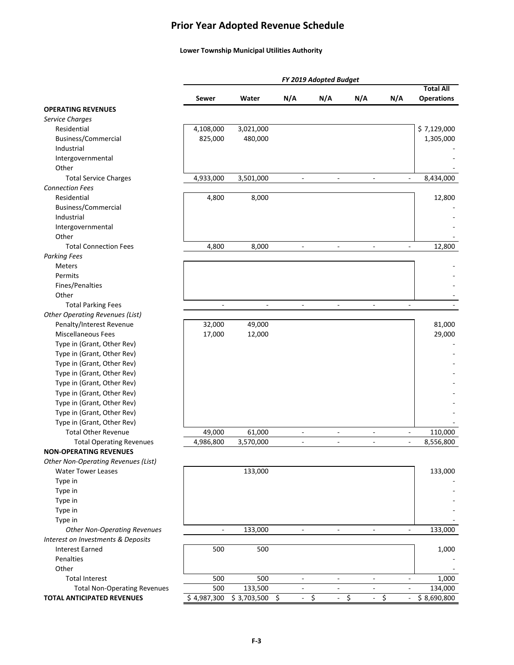### **Prior Year Adopted Revenue Schedule**

#### **Lower Township Municipal Utilities Authority**

|                                        |                          |                          |                                | FY 2019 Adopted Budget         |                          |                              |                   |
|----------------------------------------|--------------------------|--------------------------|--------------------------------|--------------------------------|--------------------------|------------------------------|-------------------|
|                                        |                          |                          |                                |                                |                          |                              | <b>Total All</b>  |
| <b>OPERATING REVENUES</b>              | Sewer                    | Water                    | N/A                            | N/A                            | N/A                      | N/A                          | <b>Operations</b> |
| <b>Service Charges</b>                 |                          |                          |                                |                                |                          |                              |                   |
| Residential                            | 4,108,000                | 3,021,000                |                                |                                |                          |                              | \$7,129,000       |
| Business/Commercial                    | 825,000                  | 480,000                  |                                |                                |                          |                              | 1,305,000         |
| Industrial                             |                          |                          |                                |                                |                          |                              |                   |
| Intergovernmental                      |                          |                          |                                |                                |                          |                              |                   |
| Other                                  |                          |                          |                                |                                |                          |                              |                   |
| <b>Total Service Charges</b>           | 4,933,000                | 3,501,000                | $\overline{\phantom{a}}$       | $\overline{\phantom{a}}$       | $\overline{\phantom{a}}$ | $\qquad \qquad \blacksquare$ | 8,434,000         |
| <b>Connection Fees</b>                 |                          |                          |                                |                                |                          |                              |                   |
| Residential                            | 4,800                    | 8,000                    |                                |                                |                          |                              | 12,800            |
| Business/Commercial                    |                          |                          |                                |                                |                          |                              |                   |
| Industrial                             |                          |                          |                                |                                |                          |                              |                   |
| Intergovernmental                      |                          |                          |                                |                                |                          |                              |                   |
| Other                                  |                          |                          |                                |                                |                          |                              |                   |
| <b>Total Connection Fees</b>           | 4,800                    | 8,000                    |                                |                                |                          |                              | 12,800            |
| <b>Parking Fees</b>                    |                          |                          |                                |                                |                          |                              |                   |
| <b>Meters</b>                          |                          |                          |                                |                                |                          |                              |                   |
| Permits                                |                          |                          |                                |                                |                          |                              |                   |
| Fines/Penalties                        |                          |                          |                                |                                |                          |                              |                   |
| Other                                  |                          |                          |                                |                                |                          |                              |                   |
| <b>Total Parking Fees</b>              | $\overline{\phantom{a}}$ | $\overline{\phantom{a}}$ | $\overline{\phantom{a}}$       | $\blacksquare$                 | $\overline{\phantom{a}}$ | $\overline{\phantom{a}}$     |                   |
| <b>Other Operating Revenues (List)</b> |                          |                          |                                |                                |                          |                              |                   |
| Penalty/Interest Revenue               | 32,000                   | 49,000                   |                                |                                |                          |                              | 81,000            |
| <b>Miscellaneous Fees</b>              | 17,000                   | 12,000                   |                                |                                |                          |                              | 29,000            |
| Type in (Grant, Other Rev)             |                          |                          |                                |                                |                          |                              |                   |
| Type in (Grant, Other Rev)             |                          |                          |                                |                                |                          |                              |                   |
| Type in (Grant, Other Rev)             |                          |                          |                                |                                |                          |                              |                   |
| Type in (Grant, Other Rev)             |                          |                          |                                |                                |                          |                              |                   |
| Type in (Grant, Other Rev)             |                          |                          |                                |                                |                          |                              |                   |
| Type in (Grant, Other Rev)             |                          |                          |                                |                                |                          |                              |                   |
| Type in (Grant, Other Rev)             |                          |                          |                                |                                |                          |                              |                   |
| Type in (Grant, Other Rev)             |                          |                          |                                |                                |                          |                              |                   |
| Type in (Grant, Other Rev)             |                          |                          |                                |                                |                          |                              |                   |
| <b>Total Other Revenue</b>             | 49,000                   | 61,000                   | $\frac{1}{2}$                  | $\overline{\phantom{a}}$       | $\overline{\phantom{a}}$ | $\overline{\phantom{a}}$     | 110,000           |
| <b>Total Operating Revenues</b>        | 4,986,800                | 3,570,000                | $\frac{1}{2}$                  | $\sim$                         | ÷,                       | ÷,                           | 8,556,800         |
| <b>NON-OPERATING REVENUES</b>          |                          |                          |                                |                                |                          |                              |                   |
| Other Non-Operating Revenues (List)    |                          |                          |                                |                                |                          |                              |                   |
| <b>Water Tower Leases</b>              |                          | 133,000                  |                                |                                |                          |                              | 133,000           |
| Type in                                |                          |                          |                                |                                |                          |                              |                   |
| Type in                                |                          |                          |                                |                                |                          |                              |                   |
| Type in                                |                          |                          |                                |                                |                          |                              |                   |
| Type in                                |                          |                          |                                |                                |                          |                              |                   |
| Type in                                |                          |                          |                                |                                |                          |                              |                   |
| <b>Other Non-Operating Revenues</b>    |                          | 133,000                  |                                |                                | ä,                       |                              | 133,000           |
| Interest on Investments & Deposits     |                          |                          |                                |                                |                          |                              |                   |
| <b>Interest Earned</b>                 | 500                      | 500                      |                                |                                |                          |                              | 1,000             |
| Penalties                              |                          |                          |                                |                                |                          |                              |                   |
| Other                                  |                          |                          |                                |                                |                          |                              |                   |
| <b>Total Interest</b>                  | 500                      | 500                      |                                |                                |                          |                              | 1,000             |
| <b>Total Non-Operating Revenues</b>    | 500                      | 133,500                  |                                |                                |                          |                              | 134,000           |
| TOTAL ANTICIPATED REVENUES             | \$4,987,300              | \$3,703,500              | \$<br>$\overline{\phantom{a}}$ | \$<br>$\overline{\phantom{a}}$ | \$<br>$\blacksquare$     | \$                           | \$8,690,800       |
|                                        |                          |                          |                                |                                |                          |                              |                   |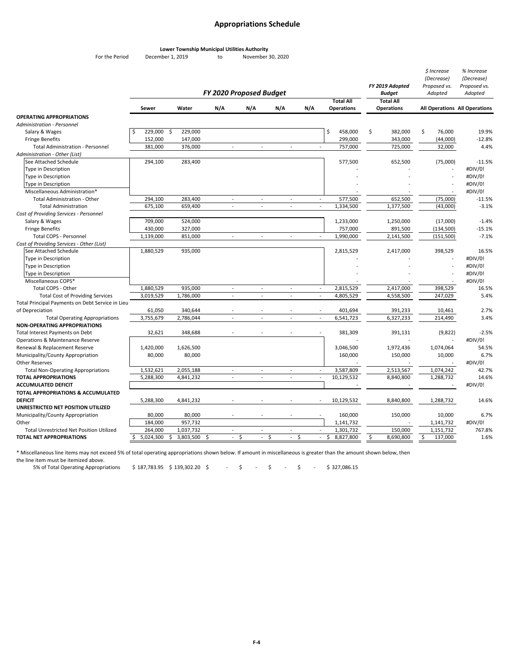#### **Appropriations Schedule**

**Lower Township Municipal Utilities Authority**

For the Period December 1, 2019 to November 30, 2020

|                                                                                             |                 |                 |                                |                             |                             |     |                                           | FY 2019 Adopted                   | \$ Increase<br>(Decrease)<br>Proposed vs. | % Increase<br>(Decrease)<br>Proposed vs. |
|---------------------------------------------------------------------------------------------|-----------------|-----------------|--------------------------------|-----------------------------|-----------------------------|-----|-------------------------------------------|-----------------------------------|-------------------------------------------|------------------------------------------|
|                                                                                             |                 |                 | <b>FY 2020 Proposed Budget</b> |                             |                             |     | <b>Total All</b>                          | <b>Budget</b><br><b>Total All</b> | Adopted                                   | Adopted                                  |
|                                                                                             | Sewer           | Water           | N/A                            | N/A                         | N/A                         | N/A | <b>Operations</b>                         | Operations                        |                                           | All Operations All Operations            |
| <b>OPERATING APPROPRIATIONS</b>                                                             |                 |                 |                                |                             |                             |     |                                           |                                   |                                           |                                          |
| Administration - Personnel                                                                  |                 |                 |                                |                             |                             |     |                                           |                                   |                                           |                                          |
| Salary & Wages                                                                              | 229,000         | \$<br>229,000   |                                |                             |                             |     | \$<br>458,000                             | \$<br>382,000                     | \$<br>76,000                              | 19.9%                                    |
| <b>Fringe Benefits</b>                                                                      | 152,000         | 147,000         |                                |                             |                             |     | 299,000                                   | 343,000                           | (44,000)                                  | $-12.8%$                                 |
| <b>Total Administration - Personnel</b>                                                     | 381,000         | 376,000         | $\mathcal{L}_{\mathcal{A}}$    | $\sim$                      | $\mathcal{L}_{\mathcal{A}}$ |     | 757,000<br>$\mathbb{Z}^2$                 | 725.000                           | 32,000                                    | 4.4%                                     |
| Administration - Other (List)                                                               |                 |                 |                                |                             |                             |     |                                           |                                   |                                           |                                          |
| See Attached Schedule                                                                       | 294,100         | 283,400         |                                |                             |                             |     | 577,500                                   | 652,500                           | (75,000)                                  | $-11.5%$                                 |
| Type in Description                                                                         |                 |                 |                                |                             |                             |     |                                           |                                   |                                           | #DIV/0!                                  |
| <b>Type in Description</b>                                                                  |                 |                 |                                |                             |                             |     |                                           |                                   | $\sim$                                    | #DIV/0!                                  |
| <b>Type in Description</b>                                                                  |                 |                 |                                |                             |                             |     |                                           |                                   |                                           | #DIV/0!                                  |
| Miscellaneous Administration*                                                               |                 |                 |                                |                             |                             |     |                                           |                                   | $\overline{\phantom{a}}$                  | #DIV/0!                                  |
| Total Administration - Other                                                                | 294,100         | 283,400         | $\overline{\phantom{a}}$       | $\overline{a}$              | $\sim$                      |     | 577,500<br>$\sim$                         | 652,500                           | (75,000)                                  | $-11.5%$                                 |
| <b>Total Administration</b>                                                                 | 675,100         | 659,400         | $\omega$                       | $\mathcal{L}_{\mathcal{A}}$ | $\mathbb{Z}^2$              |     | 1,334,500<br>$\omega$                     | 1,377,500                         | (43,000)                                  | $-3.1%$                                  |
| Cost of Providing Services - Personnel                                                      |                 |                 |                                |                             |                             |     |                                           |                                   |                                           |                                          |
| Salary & Wages                                                                              | 709,000         | 524,000         |                                |                             |                             |     | 1,233,000                                 | 1,250,000                         | (17,000)                                  | $-1.4%$                                  |
| <b>Fringe Benefits</b>                                                                      | 430,000         | 327,000         |                                |                             |                             |     | 757,000                                   | 891,500                           | (134,500)                                 | $-15.1%$                                 |
| Total COPS - Personnel                                                                      | 1,139,000       | 851,000         | $\sim$                         | $\omega$                    | $\sim$                      |     | 1,990,000<br>$\sim$                       | 2,141,500                         | (151, 500)                                | $-7.1%$                                  |
| Cost of Providing Services - Other (List)                                                   |                 |                 |                                |                             |                             |     |                                           |                                   |                                           |                                          |
| See Attached Schedule                                                                       | 1,880,529       | 935,000         |                                |                             |                             |     | 2,815,529                                 | 2,417,000                         | 398,529                                   | 16.5%                                    |
| Type in Description                                                                         |                 |                 |                                |                             |                             |     |                                           |                                   |                                           | #DIV/0!                                  |
| Type in Description                                                                         |                 |                 |                                |                             |                             |     |                                           |                                   |                                           | #DIV/0!                                  |
| Type in Description                                                                         |                 |                 |                                |                             |                             |     |                                           |                                   |                                           | #DIV/0!                                  |
| Miscellaneous COPS*<br>Total COPS - Other                                                   |                 |                 | $\overline{a}$                 |                             |                             |     | 2,815,529                                 |                                   |                                           | #DIV/0!                                  |
|                                                                                             | 1,880,529       | 935,000         | $\overline{\phantom{a}}$       | $\overline{\phantom{a}}$    | $\sim$<br>$\sim$            |     |                                           | 2,417,000                         | 398,529                                   | 16.5%                                    |
| <b>Total Cost of Providing Services</b><br>Total Principal Payments on Debt Service in Lieu | 3,019,529       | 1,786,000       |                                | $\sim$                      |                             |     | 4,805,529<br>$\blacksquare$               | 4,558,500                         | 247,029                                   | 5.4%                                     |
| of Depreciation                                                                             | 61,050          | 340,644         |                                |                             |                             |     | 401,694<br>÷,                             | 391,233                           | 10,461                                    | 2.7%                                     |
| <b>Total Operating Appropriations</b>                                                       | 3,755,679       | 2,786,044       | ÷,                             | $\overline{a}$              | $\overline{a}$              |     | 6,541,723<br>$\overline{a}$               | 6,327,233                         | 214,490                                   | 3.4%                                     |
| <b>NON-OPERATING APPROPRIATIONS</b>                                                         |                 |                 |                                |                             |                             |     |                                           |                                   |                                           |                                          |
| Total Interest Payments on Debt                                                             | 32,621          | 348,688         |                                |                             |                             |     | 381,309                                   | 391,131                           | (9,822)                                   | $-2.5%$                                  |
| Operations & Maintenance Reserve                                                            |                 |                 |                                |                             |                             |     |                                           |                                   |                                           | #DIV/0!                                  |
| Renewal & Replacement Reserve                                                               | 1,420,000       | 1,626,500       |                                |                             |                             |     | 3,046,500                                 | 1,972,436                         | 1,074,064                                 | 54.5%                                    |
| Municipality/County Appropriation                                                           | 80,000          | 80,000          |                                |                             |                             |     | 160,000                                   | 150,000                           | 10,000                                    | 6.7%                                     |
| <b>Other Reserves</b>                                                                       |                 |                 |                                |                             |                             |     |                                           |                                   |                                           | #DIV/0!                                  |
| <b>Total Non-Operating Appropriations</b>                                                   | 1,532,621       | 2,055,188       | $\sim$                         | $\overline{a}$              | $\sim$                      |     | 3,587,809<br>$\blacksquare$               | 2,513,567                         | 1,074,242                                 | 42.7%                                    |
| <b>TOTAL APPROPRIATIONS</b>                                                                 | 5,288,300       | 4,841,232       | $\omega$                       | $\sim$                      | $\mathbb{Z}^2$              |     | 10,129,532<br>$\mathcal{L}_{\mathcal{A}}$ | 8,840,800                         | 1,288,732                                 | 14.6%                                    |
| <b>ACCUMULATED DEFICIT</b>                                                                  |                 |                 |                                |                             |                             |     |                                           |                                   |                                           | #DIV/0!                                  |
| TOTAL APPROPRIATIONS & ACCUMULATED                                                          |                 |                 |                                |                             |                             |     |                                           |                                   |                                           |                                          |
| <b>DEFICIT</b>                                                                              | 5,288,300       | 4,841,232       |                                |                             |                             |     | 10,129,532                                | 8,840,800                         | 1,288,732                                 | 14.6%                                    |
| UNRESTRICTED NET POSITION UTILIZED                                                          |                 |                 |                                |                             |                             |     |                                           |                                   |                                           |                                          |
| Municipality/County Appropriation                                                           | 80,000          | 80,000          |                                |                             |                             |     | 160,000                                   | 150,000                           | 10,000                                    | 6.7%                                     |
| Other                                                                                       | 184,000         | 957,732         |                                |                             |                             |     | 1,141,732                                 |                                   | 1,141,732                                 | #DIV/0!                                  |
| Total Unrestricted Net Position Utilized                                                    | 264,000         | 1,037,732       |                                | $\overline{a}$              |                             |     | 1,301,732                                 | 150,000                           | 1,151,732                                 | 767.8%                                   |
| TOTAL NET APPROPRIATIONS                                                                    | Ŝ.<br>5,024,300 | \$<br>3,803,500 | S.<br>$\sim$                   | \$                          | - \$<br>$\sim$              | \$  | \$<br>8,827,800<br>$\sim$                 | \$<br>8,690,800                   | \$<br>137,000                             | 1.6%                                     |
|                                                                                             |                 |                 |                                |                             |                             |     |                                           |                                   |                                           |                                          |

\* Miscellaneous line items may not exceed 5% of total operating appropriations shown below. If amount in miscellaneous is greater than the amount shown below, then

the line item must be itemized above.

5% of Total Operating Appropriations  $\frac{1}{5}$  187,783.95  $\frac{1}{5}$  139,302.20  $\frac{1}{5}$   $\frac{1}{5}$   $\frac{1}{5}$   $\frac{1}{5}$   $\frac{1}{5}$   $\frac{1}{5}$   $\frac{1}{5}$   $\frac{1}{5}$   $\frac{1}{5}$   $\frac{1}{5}$   $\frac{1}{5}$   $\frac{1}{5}$   $\frac{1}{5}$   $\frac{1}{5}$   $\frac$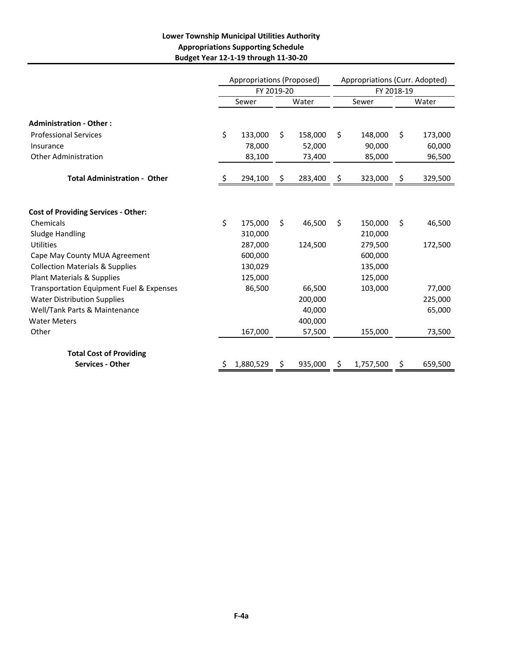#### **Lower Township Municipal Utilities Authority Appropriations Supporting Schedule Budget Year 12‐1‐19 through 11‐30‐20**

|                                                     |       | Appropriations (Proposed) |    |         | Appropriations (Curr. Adopted) |            |       |         |  |
|-----------------------------------------------------|-------|---------------------------|----|---------|--------------------------------|------------|-------|---------|--|
|                                                     |       | FY 2019-20                |    |         |                                | FY 2018-19 |       |         |  |
|                                                     | Sewer |                           |    | Water   | Sewer                          |            | Water |         |  |
| <b>Administration - Other:</b>                      |       |                           |    |         |                                |            |       |         |  |
| <b>Professional Services</b>                        | \$    | 133,000                   | Ŝ. | 158,000 | Ś                              | 148,000    | Ŝ.    | 173,000 |  |
| Insurance                                           |       | 78,000                    |    | 52,000  |                                | 90,000     |       | 60,000  |  |
| <b>Other Administration</b>                         |       | 83,100                    |    | 73,400  |                                | 85,000     |       | 96,500  |  |
| <b>Total Administration - Other</b>                 | \$    | 294,100                   | \$ | 283,400 | \$                             | 323,000    | \$    | 329,500 |  |
|                                                     |       |                           |    |         |                                |            |       |         |  |
| <b>Cost of Providing Services - Other:</b>          |       |                           |    |         |                                |            |       |         |  |
| Chemicals                                           | \$    | 175,000                   | Ś. | 46,500  | \$                             | 150,000    | \$    | 46,500  |  |
| Sludge Handling                                     |       | 310,000                   |    |         |                                | 210,000    |       |         |  |
| <b>Utilities</b>                                    |       | 287,000                   |    | 124,500 |                                | 279,500    |       | 172,500 |  |
| Cape May County MUA Agreement                       |       | 600,000                   |    |         |                                | 600,000    |       |         |  |
| <b>Collection Materials &amp; Supplies</b>          |       | 130,029                   |    |         |                                | 135,000    |       |         |  |
| Plant Materials & Supplies                          |       | 125,000                   |    |         |                                | 125,000    |       |         |  |
| <b>Transportation Equipment Fuel &amp; Expenses</b> |       | 86,500                    |    | 66,500  |                                | 103,000    |       | 77,000  |  |
| <b>Water Distribution Supplies</b>                  |       |                           |    | 200,000 |                                |            |       | 225,000 |  |
| Well/Tank Parts & Maintenance                       |       |                           |    | 40.000  |                                |            |       | 65,000  |  |
| <b>Water Meters</b>                                 |       |                           |    | 400,000 |                                |            |       |         |  |
| Other                                               |       | 167,000                   |    | 57,500  |                                | 155,000    |       | 73,500  |  |
| <b>Total Cost of Providing</b>                      |       |                           |    |         |                                |            |       |         |  |
| <b>Services - Other</b>                             |       | 1,880,529                 | Ş  | 935,000 | Ş                              | 1,757,500  | Ş     | 659,500 |  |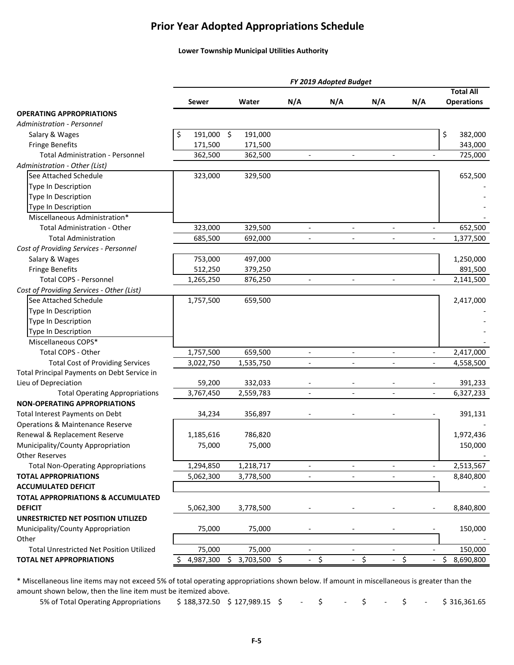### **Prior Year Adopted Appropriations Schedule**

#### **Lower Township Municipal Utilities Authority**

|                                                 |                  |                                    |                          | FY 2019 Adopted Budget   |                          |                          |                   |
|-------------------------------------------------|------------------|------------------------------------|--------------------------|--------------------------|--------------------------|--------------------------|-------------------|
|                                                 |                  |                                    |                          |                          |                          |                          | <b>Total All</b>  |
|                                                 | <b>Sewer</b>     | Water                              | N/A                      | N/A                      | N/A                      | N/A                      | <b>Operations</b> |
| <b>OPERATING APPROPRIATIONS</b>                 |                  |                                    |                          |                          |                          |                          |                   |
| <b>Administration - Personnel</b>               |                  |                                    |                          |                          |                          |                          |                   |
| Salary & Wages                                  | 191,000 \$<br>\$ | 191,000                            |                          |                          |                          |                          | \$<br>382,000     |
| <b>Fringe Benefits</b>                          | 171,500          | 171,500                            |                          |                          |                          |                          | 343,000           |
| <b>Total Administration - Personnel</b>         | 362,500          | 362,500                            | $\overline{\phantom{a}}$ | $\mathbf{r}$             | $\mathbf{r}$             |                          | 725,000           |
| Administration - Other (List)                   |                  |                                    |                          |                          |                          |                          |                   |
| See Attached Schedule                           | 323,000          | 329,500                            |                          |                          |                          |                          | 652,500           |
| Type In Description                             |                  |                                    |                          |                          |                          |                          |                   |
| Type In Description                             |                  |                                    |                          |                          |                          |                          |                   |
| Type In Description                             |                  |                                    |                          |                          |                          |                          |                   |
| Miscellaneous Administration*                   |                  |                                    |                          |                          |                          |                          |                   |
| <b>Total Administration - Other</b>             | 323,000          | 329,500                            | $\blacksquare$           | $\overline{\phantom{a}}$ | $\overline{a}$           |                          | 652,500           |
| <b>Total Administration</b>                     | 685,500          | 692,000                            |                          |                          | $\overline{a}$           |                          | 1,377,500         |
| Cost of Providing Services - Personnel          |                  |                                    |                          |                          |                          |                          |                   |
| Salary & Wages                                  | 753,000          | 497,000                            |                          |                          |                          |                          | 1,250,000         |
| <b>Fringe Benefits</b>                          | 512,250          | 379,250                            |                          |                          |                          |                          | 891,500           |
| <b>Total COPS - Personnel</b>                   | 1,265,250        | 876,250                            | $\overline{\phantom{a}}$ | $\overline{\phantom{a}}$ | $\overline{\phantom{a}}$ | $\blacksquare$           | 2,141,500         |
| Cost of Providing Services - Other (List)       |                  |                                    |                          |                          |                          |                          |                   |
| See Attached Schedule                           | 1,757,500        | 659,500                            |                          |                          |                          |                          | 2,417,000         |
| Type In Description                             |                  |                                    |                          |                          |                          |                          |                   |
| Type In Description                             |                  |                                    |                          |                          |                          |                          |                   |
| Type In Description                             |                  |                                    |                          |                          |                          |                          |                   |
| Miscellaneous COPS*                             |                  |                                    |                          |                          |                          |                          |                   |
| Total COPS - Other                              | 1,757,500        | 659,500                            |                          |                          |                          |                          | 2,417,000         |
| <b>Total Cost of Providing Services</b>         | 3,022,750        | 1,535,750                          |                          |                          |                          |                          | 4,558,500         |
| Total Principal Payments on Debt Service in     |                  |                                    |                          |                          |                          |                          |                   |
| Lieu of Depreciation                            | 59,200           | 332,033                            |                          |                          |                          |                          | 391,233           |
| <b>Total Operating Appropriations</b>           | 3,767,450        | 2,559,783                          |                          | $\overline{a}$           |                          |                          | 6,327,233         |
| <b>NON-OPERATING APPROPRIATIONS</b>             |                  |                                    |                          |                          |                          |                          |                   |
| Total Interest Payments on Debt                 | 34,234           | 356,897                            |                          |                          |                          |                          | 391,131           |
| <b>Operations &amp; Maintenance Reserve</b>     |                  |                                    |                          |                          |                          |                          |                   |
| Renewal & Replacement Reserve                   | 1,185,616        | 786,820                            |                          |                          |                          |                          | 1,972,436         |
| Municipality/County Appropriation               | 75,000           | 75,000                             |                          |                          |                          |                          | 150,000           |
| <b>Other Reserves</b>                           |                  |                                    |                          |                          |                          |                          |                   |
| <b>Total Non-Operating Appropriations</b>       | 1,294,850        | 1,218,717                          | $\overline{\phantom{a}}$ | $\overline{\phantom{a}}$ | $\overline{\phantom{a}}$ | $\overline{\phantom{a}}$ | 2,513,567         |
| <b>TOTAL APPROPRIATIONS</b>                     | 5,062,300        | 3,778,500                          | $\overline{a}$           | $\overline{a}$           | $\overline{a}$           | $\overline{\phantom{a}}$ | 8,840,800         |
| <b>ACCUMULATED DEFICIT</b>                      |                  |                                    |                          |                          |                          |                          |                   |
| <b>TOTAL APPROPRIATIONS &amp; ACCUMULATED</b>   |                  |                                    |                          |                          |                          |                          |                   |
| <b>DEFICIT</b>                                  | 5,062,300        | 3,778,500                          |                          |                          |                          |                          | 8,840,800         |
| UNRESTRICTED NET POSITION UTILIZED              |                  |                                    |                          |                          |                          |                          |                   |
| Municipality/County Appropriation               | 75,000           | 75,000                             |                          |                          |                          |                          | 150,000           |
| Other                                           |                  |                                    |                          |                          |                          |                          |                   |
| <b>Total Unrestricted Net Position Utilized</b> | 75,000           | 75,000                             |                          |                          |                          |                          | 150,000           |
| <b>TOTAL NET APPROPRIATIONS</b>                 | 4,987,300        | $\ddot{\varsigma}$<br>3,703,500 \$ | \$                       |                          | \$                       | \$                       | \$<br>8,690,800   |
|                                                 |                  |                                    |                          |                          |                          |                          |                   |

\* Miscellaneous line items may not exceed 5% of total operating appropriations shown below. If amount in miscellaneous is greater than the amount shown below, then the line item must be itemized above.

5% of Total Operating Appropriations \$188,372.50 \$127,989.15 \$ - \$ - \$ - \$ - \$316,361.65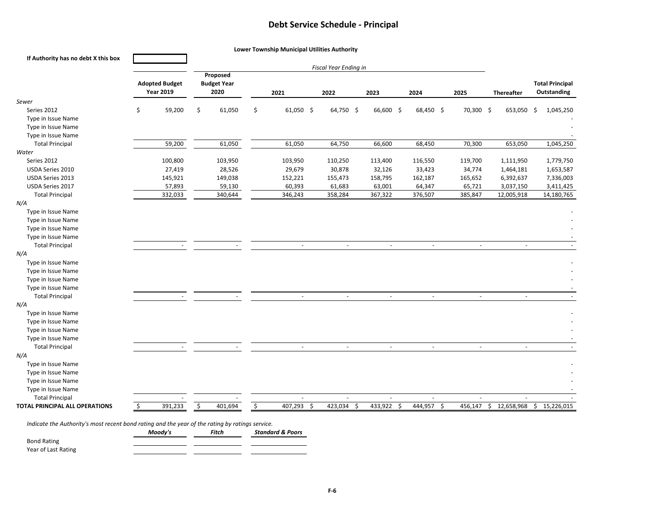#### **Debt Service Schedule ‐ Principal**

| If Authority has no debt X this box   |                                           |    |                                        |    |             |                               |                          |            |           |                       |                                       |
|---------------------------------------|-------------------------------------------|----|----------------------------------------|----|-------------|-------------------------------|--------------------------|------------|-----------|-----------------------|---------------------------------------|
|                                       | <b>Adopted Budget</b><br><b>Year 2019</b> |    | Proposed<br><b>Budget Year</b><br>2020 |    | 2021        | Fiscal Year Ending in<br>2022 | 2023                     | 2024       | 2025      | <b>Thereafter</b>     | <b>Total Principal</b><br>Outstanding |
| Sewer                                 |                                           |    |                                        |    |             |                               |                          |            |           |                       |                                       |
| Series 2012                           | \$<br>59,200                              | \$ | 61,050                                 | \$ | $61,050$ \$ | 64,750 \$                     | 66,600 \$                | 68,450 \$  | 70,300 \$ | 653,050               | \$<br>1,045,250                       |
| Type in Issue Name                    |                                           |    |                                        |    |             |                               |                          |            |           |                       |                                       |
| Type in Issue Name                    |                                           |    |                                        |    |             |                               |                          |            |           |                       |                                       |
| Type in Issue Name                    |                                           |    |                                        |    |             |                               |                          |            |           |                       |                                       |
| <b>Total Principal</b>                | 59,200                                    |    | 61,050                                 |    | 61,050      | 64,750                        | 66,600                   | 68,450     | 70,300    | 653,050               | 1,045,250                             |
| Water                                 |                                           |    |                                        |    |             |                               |                          |            |           |                       |                                       |
| Series 2012                           | 100,800                                   |    | 103,950                                |    | 103,950     | 110,250                       | 113,400                  | 116,550    | 119,700   | 1,111,950             | 1,779,750                             |
| USDA Series 2010                      | 27,419                                    |    | 28,526                                 |    | 29,679      | 30,878                        | 32,126                   | 33,423     | 34,774    | 1,464,181             | 1,653,587                             |
| USDA Series 2013                      | 145,921                                   |    | 149,038                                |    | 152,221     | 155,473                       | 158,795                  | 162,187    | 165,652   | 6,392,637             | 7,336,003                             |
| USDA Series 2017                      | 57,893<br>332,033                         |    | 59,130                                 |    | 60,393      | 61,683                        | 63,001                   | 64,347     | 65,721    | 3,037,150             | 3,411,425                             |
| <b>Total Principal</b><br>N/A         |                                           |    | 340,644                                |    | 346,243     | 358,284                       | 367,322                  | 376,507    | 385,847   | 12,005,918            | 14,180,765                            |
| Type in Issue Name                    |                                           |    |                                        |    |             |                               |                          |            |           |                       |                                       |
| Type in Issue Name                    |                                           |    |                                        |    |             |                               |                          |            |           |                       |                                       |
| Type in Issue Name                    |                                           |    |                                        |    |             |                               |                          |            |           |                       |                                       |
| Type in Issue Name                    |                                           |    |                                        |    |             |                               |                          |            |           |                       |                                       |
| <b>Total Principal</b>                | $\sim$                                    |    |                                        |    | $\sim$      | $\sim$                        | $\sim$                   | $\sim$     | $\sim$    | $\sim$                |                                       |
| N/A                                   |                                           |    |                                        |    |             |                               |                          |            |           |                       |                                       |
| Type in Issue Name                    |                                           |    |                                        |    |             |                               |                          |            |           |                       |                                       |
| Type in Issue Name                    |                                           |    |                                        |    |             |                               |                          |            |           |                       |                                       |
| Type in Issue Name                    |                                           |    |                                        |    |             |                               |                          |            |           |                       |                                       |
| Type in Issue Name                    |                                           |    |                                        |    |             |                               |                          |            |           |                       |                                       |
| <b>Total Principal</b>                |                                           |    |                                        |    | $\sim$      | $\sim$                        | ÷                        | ÷.         | $\sim$    | ä,                    |                                       |
| N/A                                   |                                           |    |                                        |    |             |                               |                          |            |           |                       |                                       |
| Type in Issue Name                    |                                           |    |                                        |    |             |                               |                          |            |           |                       |                                       |
| Type in Issue Name                    |                                           |    |                                        |    |             |                               |                          |            |           |                       |                                       |
| Type in Issue Name                    |                                           |    |                                        |    |             |                               |                          |            |           |                       |                                       |
| Type in Issue Name                    |                                           |    |                                        |    |             |                               |                          |            |           |                       |                                       |
| <b>Total Principal</b>                |                                           |    |                                        |    | $\omega$    | $\mathcal{L}_{\mathcal{A}}$   | $\overline{\phantom{a}}$ | $\sim$     | $\omega$  | $\sim$                |                                       |
| N/A                                   |                                           |    |                                        |    |             |                               |                          |            |           |                       |                                       |
| Type in Issue Name                    |                                           |    |                                        |    |             |                               |                          |            |           |                       |                                       |
| Type in Issue Name                    |                                           |    |                                        |    |             |                               |                          |            |           |                       |                                       |
| Type in Issue Name                    |                                           |    |                                        |    |             |                               |                          |            |           |                       |                                       |
| Type in Issue Name                    |                                           |    |                                        |    |             |                               |                          |            |           |                       |                                       |
| <b>Total Principal</b>                |                                           |    |                                        |    |             |                               |                          |            |           | ٠                     |                                       |
| <b>TOTAL PRINCIPAL ALL OPERATIONS</b> | \$<br>391,233                             | \$ | 401,694                                | \$ | 407,293 \$  | 423,034<br>-\$                | 433,922 \$               | 444,957 \$ |           | 456,147 \$ 12,658,968 | \$15,226,015                          |

*Indicate the Authority's most recent bond rating and the year of the rating by ratings service.*

|                     | Moodv's | Fitch | <b>Standard &amp; Poors</b> |
|---------------------|---------|-------|-----------------------------|
| <b>Bond Rating</b>  |         |       |                             |
| Year of Last Rating |         |       |                             |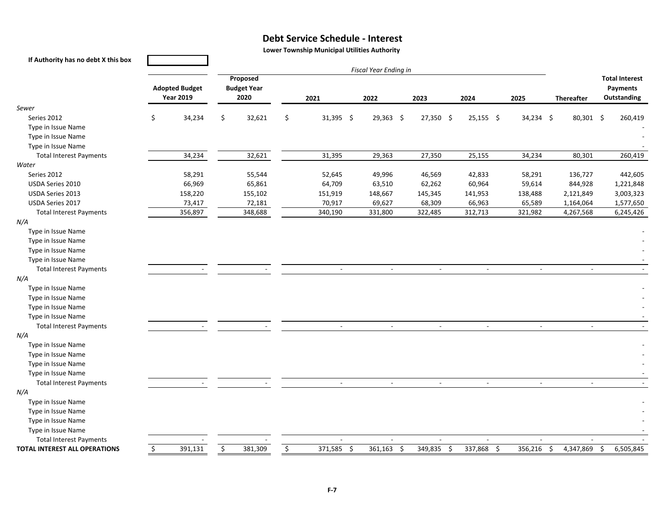#### **Debt Service Schedule ‐ Interest**

**Lower Township Municipal Utilities Authority**

| If Authority has no debt X this box  |                                           |                                          |                            |    |                          |  |                               |  |                               |                               |                           |                          |                         |  |
|--------------------------------------|-------------------------------------------|------------------------------------------|----------------------------|----|--------------------------|--|-------------------------------|--|-------------------------------|-------------------------------|---------------------------|--------------------------|-------------------------|--|
|                                      |                                           | <b>Fiscal Year Ending in</b><br>Proposed |                            |    |                          |  |                               |  |                               |                               |                           |                          |                         |  |
|                                      |                                           |                                          |                            |    |                          |  |                               |  |                               |                               |                           |                          | <b>Total Interest</b>   |  |
|                                      | <b>Adopted Budget</b><br><b>Year 2019</b> |                                          | <b>Budget Year</b><br>2020 |    | 2021                     |  | 2022                          |  | 2023                          | 2024                          | 2025                      | <b>Thereafter</b>        | Payments<br>Outstanding |  |
| Sewer                                |                                           |                                          |                            |    |                          |  |                               |  |                               |                               |                           |                          |                         |  |
| Series 2012                          | \$<br>34,234                              | \$                                       | 32,621                     | \$ | 31,395 \$                |  | $29,363$ \$                   |  | $27,350$ \$                   | $25,155$ \$                   | 34,234 \$                 | 80,301 \$                | 260,419                 |  |
| Type in Issue Name                   |                                           |                                          |                            |    |                          |  |                               |  |                               |                               |                           |                          |                         |  |
| Type in Issue Name                   |                                           |                                          |                            |    |                          |  |                               |  |                               |                               |                           |                          |                         |  |
| Type in Issue Name                   |                                           |                                          |                            |    |                          |  |                               |  |                               |                               |                           |                          |                         |  |
| <b>Total Interest Payments</b>       | 34,234                                    |                                          | 32,621                     |    | 31,395                   |  | 29,363                        |  | 27,350                        | 25,155                        | 34,234                    | 80,301                   | 260,419                 |  |
| Water                                |                                           |                                          |                            |    |                          |  |                               |  |                               |                               |                           |                          |                         |  |
| Series 2012                          | 58,291                                    |                                          | 55,544                     |    | 52,645                   |  | 49,996                        |  | 46,569                        | 42,833                        | 58,291                    | 136,727                  | 442,605                 |  |
| USDA Series 2010                     | 66,969                                    |                                          | 65,861                     |    | 64,709                   |  | 63,510                        |  | 62,262                        | 60,964                        | 59,614                    | 844,928                  | 1,221,848               |  |
| USDA Series 2013                     | 158,220                                   |                                          | 155,102                    |    | 151,919                  |  | 148,667                       |  | 145,345                       | 141,953                       | 138,488                   | 2,121,849                | 3,003,323               |  |
| USDA Series 2017                     | 73,417                                    |                                          | 72,181                     |    | 70,917                   |  | 69,627                        |  | 68,309                        | 66,963                        | 65,589                    | 1,164,064                | 1,577,650               |  |
| <b>Total Interest Payments</b>       | 356,897                                   |                                          | 348,688                    |    | 340,190                  |  | 331,800                       |  | 322,485                       | 312,713                       | 321,982                   | 4,267,568                | 6,245,426               |  |
| N/A                                  |                                           |                                          |                            |    |                          |  |                               |  |                               |                               |                           |                          |                         |  |
| Type in Issue Name                   |                                           |                                          |                            |    |                          |  |                               |  |                               |                               |                           |                          |                         |  |
| Type in Issue Name                   |                                           |                                          |                            |    |                          |  |                               |  |                               |                               |                           |                          |                         |  |
| Type in Issue Name                   |                                           |                                          |                            |    |                          |  |                               |  |                               |                               |                           |                          |                         |  |
| Type in Issue Name                   |                                           |                                          |                            |    |                          |  |                               |  |                               |                               |                           |                          |                         |  |
| <b>Total Interest Payments</b>       |                                           |                                          |                            |    |                          |  |                               |  |                               | $\overline{\phantom{a}}$      |                           |                          |                         |  |
| N/A                                  |                                           |                                          |                            |    |                          |  |                               |  |                               |                               |                           |                          |                         |  |
| Type in Issue Name                   |                                           |                                          |                            |    |                          |  |                               |  |                               |                               |                           |                          |                         |  |
| Type in Issue Name                   |                                           |                                          |                            |    |                          |  |                               |  |                               |                               |                           |                          |                         |  |
| Type in Issue Name                   |                                           |                                          |                            |    |                          |  |                               |  |                               |                               |                           |                          |                         |  |
| Type in Issue Name                   |                                           |                                          |                            |    |                          |  |                               |  |                               |                               |                           |                          |                         |  |
| <b>Total Interest Payments</b>       |                                           |                                          |                            |    | $\blacksquare$           |  | $\blacksquare$                |  | $\mathbb{L}^2$                | $\sim$                        | $\mathbb{Z}^{\mathbb{Z}}$ | $\sim$                   |                         |  |
| N/A                                  |                                           |                                          |                            |    |                          |  |                               |  |                               |                               |                           |                          |                         |  |
| Type in Issue Name                   |                                           |                                          |                            |    |                          |  |                               |  |                               |                               |                           |                          |                         |  |
| Type in Issue Name                   |                                           |                                          |                            |    |                          |  |                               |  |                               |                               |                           |                          |                         |  |
| Type in Issue Name                   |                                           |                                          |                            |    |                          |  |                               |  |                               |                               |                           |                          |                         |  |
| Type in Issue Name                   |                                           |                                          |                            |    |                          |  |                               |  |                               |                               |                           |                          |                         |  |
| <b>Total Interest Payments</b>       |                                           |                                          |                            |    | $\overline{\phantom{a}}$ |  | $\overline{\phantom{a}}$      |  | $\overline{\phantom{a}}$      | $\sim$                        | $\blacksquare$            | $\overline{\phantom{a}}$ |                         |  |
| N/A                                  |                                           |                                          |                            |    |                          |  |                               |  |                               |                               |                           |                          |                         |  |
| Type in Issue Name                   |                                           |                                          |                            |    |                          |  |                               |  |                               |                               |                           |                          |                         |  |
| Type in Issue Name                   |                                           |                                          |                            |    |                          |  |                               |  |                               |                               |                           |                          |                         |  |
| Type in Issue Name                   |                                           |                                          |                            |    |                          |  |                               |  |                               |                               |                           |                          |                         |  |
| Type in Issue Name                   |                                           |                                          |                            |    |                          |  |                               |  |                               |                               |                           |                          |                         |  |
| <b>Total Interest Payments</b>       |                                           |                                          |                            |    | $\sim$                   |  | $\sim$                        |  | $\sim$                        | $\sim$                        | $\sim$                    | $\sim$                   |                         |  |
| <b>TOTAL INTEREST ALL OPERATIONS</b> | \$<br>391,131                             | $\overline{\varsigma}$                   | 381,309                    | \$ | $371,585$ \$             |  | 361,163<br>$\ddot{\varsigma}$ |  | 349,835<br>$\ddot{\varsigma}$ | 337,868<br>$\ddot{\varsigma}$ | 356,216                   | \$<br>4,347,869          | \$<br>6,505,845         |  |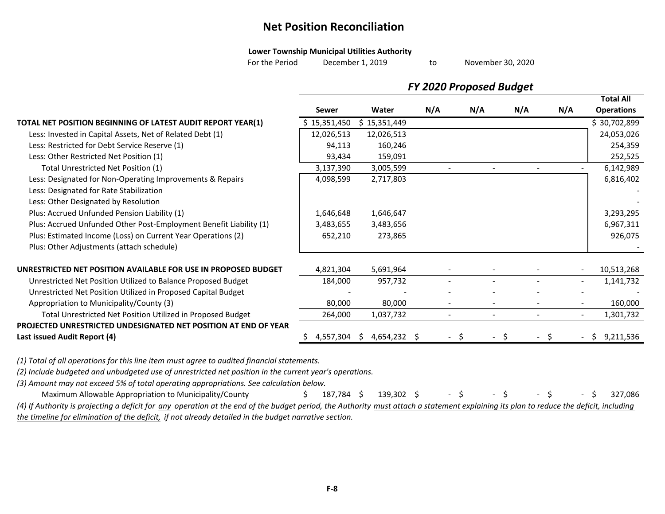### **Net Position Reconciliation**

#### **Lower Township Municipal Utilities Authority**

For thee Period December 1, 2019 to

November 30, 2020

to

|                                                                    | <b>FY 2020 Proposed Budget</b> |                           |     |     |     |     |                   |  |
|--------------------------------------------------------------------|--------------------------------|---------------------------|-----|-----|-----|-----|-------------------|--|
|                                                                    |                                |                           |     |     |     |     | <b>Total All</b>  |  |
|                                                                    | Sewer                          | Water                     | N/A | N/A | N/A | N/A | <b>Operations</b> |  |
| TOTAL NET POSITION BEGINNING OF LATEST AUDIT REPORT YEAR(1)        | \$15,351,450                   | \$15,351,449              |     |     |     |     | \$30,702,899      |  |
| Less: Invested in Capital Assets, Net of Related Debt (1)          | 12,026,513                     | 12,026,513                |     |     |     |     | 24,053,026        |  |
| Less: Restricted for Debt Service Reserve (1)                      | 94,113                         | 160,246                   |     |     |     |     | 254,359           |  |
| Less: Other Restricted Net Position (1)                            | 93,434                         | 159,091                   |     |     |     |     | 252,525           |  |
| Total Unrestricted Net Position (1)                                | 3,137,390                      | 3,005,599                 |     |     |     |     | 6,142,989         |  |
| Less: Designated for Non-Operating Improvements & Repairs          | 4,098,599                      | 2,717,803                 |     |     |     |     | 6,816,402         |  |
| Less: Designated for Rate Stabilization                            |                                |                           |     |     |     |     |                   |  |
| Less: Other Designated by Resolution                               |                                |                           |     |     |     |     |                   |  |
| Plus: Accrued Unfunded Pension Liability (1)                       | 1,646,648                      | 1,646,647                 |     |     |     |     | 3,293,295         |  |
| Plus: Accrued Unfunded Other Post-Employment Benefit Liability (1) | 3,483,655                      | 3,483,656                 |     |     |     |     | 6,967,311         |  |
| Plus: Estimated Income (Loss) on Current Year Operations (2)       | 652,210                        | 273,865                   |     |     |     |     | 926,075           |  |
| Plus: Other Adjustments (attach schedule)                          |                                |                           |     |     |     |     |                   |  |
| UNRESTRICTED NET POSITION AVAILABLE FOR USE IN PROPOSED BUDGET     | 4,821,304                      | 5,691,964                 |     |     |     |     | 10,513,268        |  |
| Unrestricted Net Position Utilized to Balance Proposed Budget      | 184,000                        | 957,732                   |     |     |     |     | 1,141,732         |  |
| Unrestricted Net Position Utilized in Proposed Capital Budget      |                                |                           |     |     |     |     |                   |  |
| Appropriation to Municipality/County (3)                           | 80,000                         | 80,000                    |     |     |     |     | 160,000           |  |
| Total Unrestricted Net Position Utilized in Proposed Budget        | 264,000                        | 1,037,732                 |     |     |     |     | 1,301,732         |  |
| PROJECTED UNRESTRICTED UNDESIGNATED NET POSITION AT END OF YEAR    |                                |                           |     |     |     |     |                   |  |
| Last issued Audit Report (4)                                       |                                | 4,557,304 \$ 4,654,232 \$ |     |     |     |     | \$9,211,536       |  |
|                                                                    |                                |                           |     |     |     |     |                   |  |

*(1) Total of all operations for this line item must agree to audited financial statements.*

*(2) Include budgeted and unbudgeted use of unrestricted net position in the current year's operations.*

*(3) Amount may not exceed 5% of total operating appropriations. See calculation below.*

Maximum Allowable Appropriation to Municipality/County \$ 187,784 \$ 139,302 \$ \$ \$ \$ 327,086 (4) If Authority is projecting a deficit for any operation at the end of the budget period, the Authority must attach a statement explaining its plan to reduce the deficit, including *the timeline for elimination of the deficit, if not already detailed in the budget narrative section.*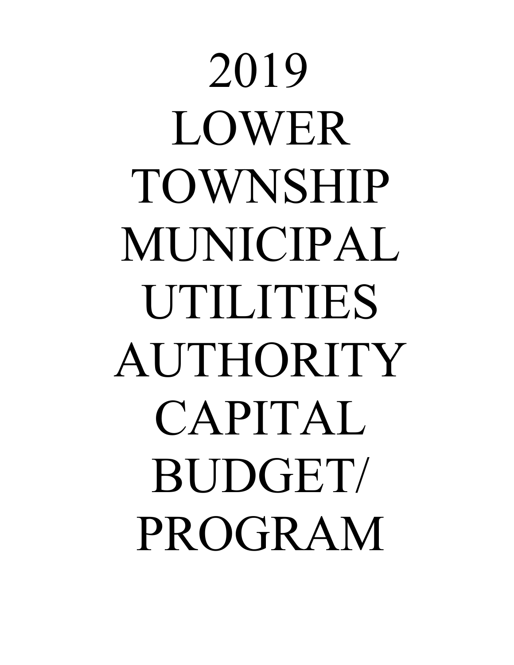2019 LOWER TOWNSHIP MUNICIPAL UTILITIES AUTHORITY CAPITAL BUDGET/ PROGRAM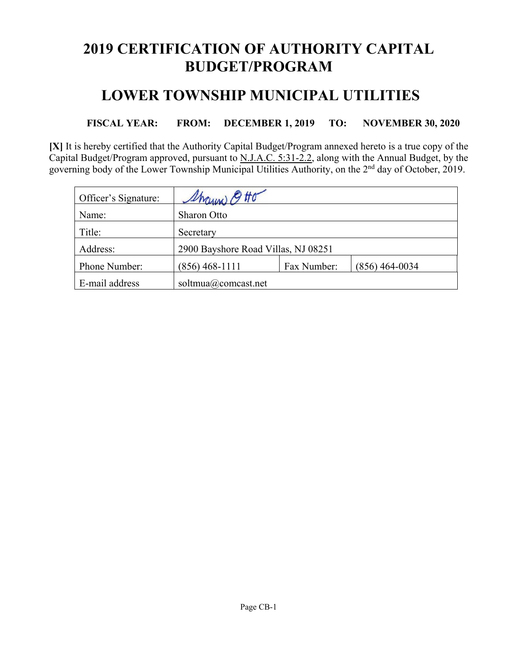# **2019 CERTIFICATION OF AUTHORITY CAPITAL BUDGET/PROGRAM**

### **LOWER TOWNSHIP MUNICIPAL UTILITIES**

**FISCAL YEAR: FROM: DECEMBER 1, 2019 TO: NOVEMBER 30, 2020** 

**[X]** It is hereby certified that the Authority Capital Budget/Program annexed hereto is a true copy of the Capital Budget/Program approved, pursuant to N.J.A.C. 5:31-2.2, along with the Annual Budget, by the governing body of the Lower Township Municipal Utilities Authority, on the 2<sup>nd</sup> day of October, 2019.

| Officer's Signature: | Sharin 9 Ho                         |             |                  |  |  |  |  |  |  |
|----------------------|-------------------------------------|-------------|------------------|--|--|--|--|--|--|
| Name:                | <b>Sharon Otto</b>                  |             |                  |  |  |  |  |  |  |
| Title:               | Secretary                           |             |                  |  |  |  |  |  |  |
| Address:             | 2900 Bayshore Road Villas, NJ 08251 |             |                  |  |  |  |  |  |  |
| Phone Number:        | $(856)$ 468-1111                    | Fax Number: | $(856)$ 464-0034 |  |  |  |  |  |  |
| E-mail address       | soltmua@comcast.net                 |             |                  |  |  |  |  |  |  |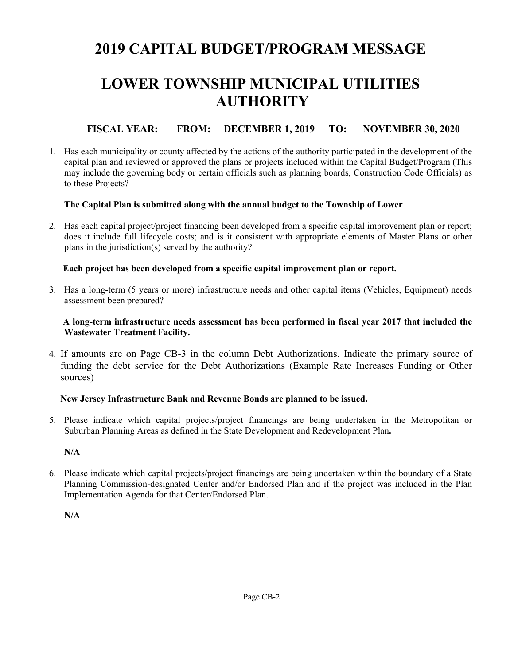# **2019 CAPITAL BUDGET/PROGRAM MESSAGE**

# **LOWER TOWNSHIP MUNICIPAL UTILITIES AUTHORITY**

### **FISCAL YEAR: FROM: DECEMBER 1, 2019 TO: NOVEMBER 30, 2020**

1. Has each municipality or county affected by the actions of the authority participated in the development of the capital plan and reviewed or approved the plans or projects included within the Capital Budget/Program (This may include the governing body or certain officials such as planning boards, Construction Code Officials) as to these Projects?

#### **The Capital Plan is submitted along with the annual budget to the Township of Lower**

2. Has each capital project/project financing been developed from a specific capital improvement plan or report; does it include full lifecycle costs; and is it consistent with appropriate elements of Master Plans or other plans in the jurisdiction(s) served by the authority?

#### **Each project has been developed from a specific capital improvement plan or report.**

3. Has a long-term (5 years or more) infrastructure needs and other capital items (Vehicles, Equipment) needs assessment been prepared?

#### **A long-term infrastructure needs assessment has been performed in fiscal year 2017 that included the Wastewater Treatment Facility.**

4. If amounts are on Page CB-3 in the column Debt Authorizations. Indicate the primary source of funding the debt service for the Debt Authorizations (Example Rate Increases Funding or Other sources)

### **New Jersey Infrastructure Bank and Revenue Bonds are planned to be issued.**

5. Please indicate which capital projects/project financings are being undertaken in the Metropolitan or Suburban Planning Areas as defined in the State Development and Redevelopment Plan**.** 

### **N/A**

6. Please indicate which capital projects/project financings are being undertaken within the boundary of a State Planning Commission-designated Center and/or Endorsed Plan and if the project was included in the Plan Implementation Agenda for that Center/Endorsed Plan.

**N/A**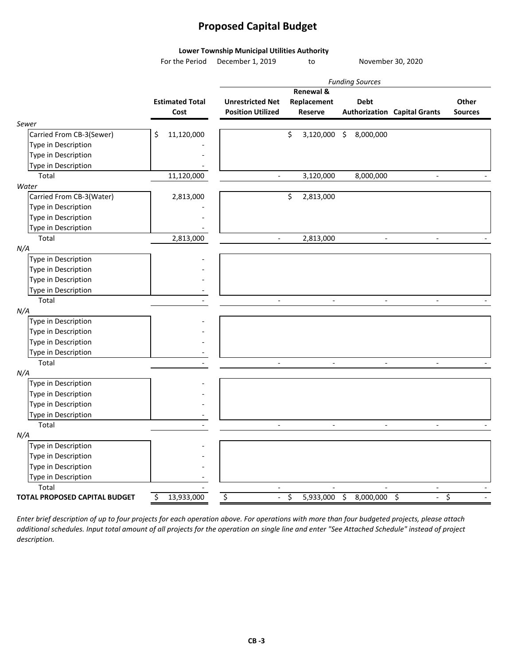### **Proposed Capital Budget**

#### **Lower Township Municipal Utilities Authority**

For the Period December 1, 2019 to November 30, 2020

|                                      |                        |                              | Renewal &                |                          |                                     |                |
|--------------------------------------|------------------------|------------------------------|--------------------------|--------------------------|-------------------------------------|----------------|
|                                      | <b>Estimated Total</b> | <b>Unrestricted Net</b>      | Replacement              | <b>Debt</b>              |                                     | Other          |
|                                      | Cost                   | <b>Position Utilized</b>     | <b>Reserve</b>           |                          | <b>Authorization Capital Grants</b> | <b>Sources</b> |
| Sewer                                |                        |                              |                          |                          |                                     |                |
| Carried From CB-3(Sewer)             | 11,120,000<br>\$       |                              | \$<br>3,120,000          | 8,000,000<br>\$          |                                     |                |
| Type in Description                  |                        |                              |                          |                          |                                     |                |
| Type in Description                  |                        |                              |                          |                          |                                     |                |
| Type in Description                  |                        |                              |                          |                          |                                     |                |
| Total                                | 11,120,000             | $\overline{a}$               | 3,120,000                | 8,000,000                | $\blacksquare$                      |                |
| Water                                |                        |                              |                          |                          |                                     |                |
| Carried From CB-3(Water)             | 2,813,000              |                              | \$<br>2,813,000          |                          |                                     |                |
| Type in Description                  |                        |                              |                          |                          |                                     |                |
| Type in Description                  |                        |                              |                          |                          |                                     |                |
| Type in Description                  |                        |                              |                          |                          |                                     |                |
| Total                                | 2,813,000              | $\overline{\phantom{a}}$     | 2,813,000                | $\overline{\phantom{a}}$ | $\overline{\phantom{a}}$            |                |
| N/A                                  |                        |                              |                          |                          |                                     |                |
| Type in Description                  |                        |                              |                          |                          |                                     |                |
| Type in Description                  |                        |                              |                          |                          |                                     |                |
| Type in Description                  |                        |                              |                          |                          |                                     |                |
| Type in Description                  |                        |                              |                          |                          |                                     |                |
| Total                                |                        | $\overline{\phantom{a}}$     | $\overline{\phantom{a}}$ | $\overline{\phantom{a}}$ | $\overline{\phantom{a}}$            |                |
| N/A                                  |                        |                              |                          |                          |                                     |                |
| Type in Description                  |                        |                              |                          |                          |                                     |                |
| Type in Description                  |                        |                              |                          |                          |                                     |                |
| Type in Description                  |                        |                              |                          |                          |                                     |                |
| Type in Description                  |                        |                              |                          |                          |                                     |                |
| Total                                |                        | $\frac{1}{2}$                | $\overline{\phantom{a}}$ | $\blacksquare$           | $\blacksquare$                      |                |
| N/A                                  |                        |                              |                          |                          |                                     |                |
| <b>Type in Description</b>           |                        |                              |                          |                          |                                     |                |
| Type in Description                  |                        |                              |                          |                          |                                     |                |
| Type in Description                  |                        |                              |                          |                          |                                     |                |
| Type in Description                  |                        |                              |                          |                          |                                     |                |
| Total                                |                        | $\overline{a}$               | $\blacksquare$           | $\overline{\phantom{a}}$ | $\overline{\phantom{a}}$            |                |
| N/A                                  |                        |                              |                          |                          |                                     |                |
| Type in Description                  |                        |                              |                          |                          |                                     |                |
| Type in Description                  |                        |                              |                          |                          |                                     |                |
| Type in Description                  |                        |                              |                          |                          |                                     |                |
| Type in Description                  |                        |                              |                          |                          |                                     |                |
| Total                                |                        | $\qquad \qquad \blacksquare$ |                          |                          | $\overline{\phantom{a}}$            |                |
| <b>TOTAL PROPOSED CAPITAL BUDGET</b> | \$<br>13,933,000       | \$<br>$\blacksquare$         | \$<br>5,933,000          | \$<br>8,000,000          | \$<br>$\overline{\phantom{a}}$      | \$             |
|                                      |                        |                              |                          |                          |                                     |                |

Enter brief description of up to four projects for each operation above. For operations with more than four budgeted projects, please attach additional schedules. Input total amount of all projects for the operation on single line and enter "See Attached Schedule" instead of project *description.*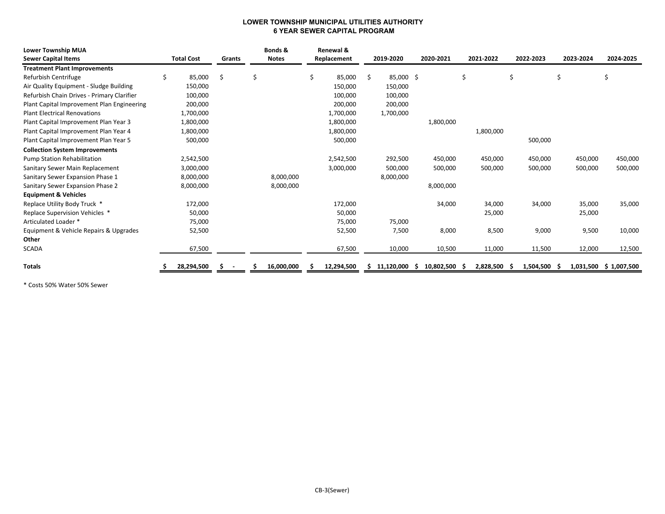#### **LOWER TOWNSHIP MUNICIPAL UTILITIES AUTHORITY 6 YEAR SEWER CAPITAL PROGRAM**

| <b>Lower Township MUA</b>                  |   |                   |        | Bonds &      |   | Renewal &   |     |            |   |            |                 |           |           |                 |
|--------------------------------------------|---|-------------------|--------|--------------|---|-------------|-----|------------|---|------------|-----------------|-----------|-----------|-----------------|
| <b>Sewer Capital Items</b>                 |   | <b>Total Cost</b> | Grants | <b>Notes</b> |   | Replacement |     | 2019-2020  |   | 2020-2021  | 2021-2022       | 2022-2023 | 2023-2024 | 2024-2025       |
| <b>Treatment Plant Improvements</b>        |   |                   |        |              |   |             |     |            |   |            |                 |           |           |                 |
| Refurbish Centrifuge                       | Ś | 85,000            | \$     | \$           | Ś | 85,000      | \$. | 85,000 \$  |   |            | \$              | \$        | \$        | \$              |
| Air Quality Equipment - Sludge Building    |   | 150,000           |        |              |   | 150,000     |     | 150,000    |   |            |                 |           |           |                 |
| Refurbish Chain Drives - Primary Clarifier |   | 100,000           |        |              |   | 100,000     |     | 100,000    |   |            |                 |           |           |                 |
| Plant Capital Improvement Plan Engineering |   | 200,000           |        |              |   | 200,000     |     | 200,000    |   |            |                 |           |           |                 |
| <b>Plant Electrical Renovations</b>        |   | 1,700,000         |        |              |   | 1,700,000   |     | 1,700,000  |   |            |                 |           |           |                 |
| Plant Capital Improvement Plan Year 3      |   | 1,800,000         |        |              |   | 1,800,000   |     |            |   | 1,800,000  |                 |           |           |                 |
| Plant Capital Improvement Plan Year 4      |   | 1,800,000         |        |              |   | 1,800,000   |     |            |   |            | 1,800,000       |           |           |                 |
| Plant Capital Improvement Plan Year 5      |   | 500,000           |        |              |   | 500,000     |     |            |   |            |                 | 500,000   |           |                 |
| <b>Collection System Improvements</b>      |   |                   |        |              |   |             |     |            |   |            |                 |           |           |                 |
| <b>Pump Station Rehabilitation</b>         |   | 2,542,500         |        |              |   | 2,542,500   |     | 292,500    |   | 450,000    | 450,000         | 450,000   | 450,000   | 450,000         |
| Sanitary Sewer Main Replacement            |   | 3,000,000         |        |              |   | 3,000,000   |     | 500,000    |   | 500,000    | 500,000         | 500,000   | 500,000   | 500,000         |
| Sanitary Sewer Expansion Phase 1           |   | 8,000,000         |        | 8,000,000    |   |             |     | 8,000,000  |   |            |                 |           |           |                 |
| Sanitary Sewer Expansion Phase 2           |   | 8,000,000         |        | 8,000,000    |   |             |     |            |   | 8,000,000  |                 |           |           |                 |
| <b>Equipment &amp; Vehicles</b>            |   |                   |        |              |   |             |     |            |   |            |                 |           |           |                 |
| Replace Utility Body Truck *               |   | 172,000           |        |              |   | 172,000     |     |            |   | 34,000     | 34,000          | 34,000    | 35,000    | 35,000          |
| Replace Supervision Vehicles *             |   | 50,000            |        |              |   | 50,000      |     |            |   |            | 25,000          |           | 25,000    |                 |
| Articulated Loader *                       |   | 75,000            |        |              |   | 75,000      |     | 75,000     |   |            |                 |           |           |                 |
| Equipment & Vehicle Repairs & Upgrades     |   | 52,500            |        |              |   | 52,500      |     | 7,500      |   | 8,000      | 8,500           | 9,000     | 9,500     | 10,000          |
| Other                                      |   |                   |        |              |   |             |     |            |   |            |                 |           |           |                 |
| <b>SCADA</b>                               |   | 67,500            |        |              |   | 67,500      |     | 10,000     |   | 10,500     | 11,000          | 11,500    | 12,000    | 12,500          |
|                                            |   |                   |        |              |   |             |     |            |   |            |                 |           |           |                 |
| <b>Totals</b>                              |   | 28,294,500        |        | 16,000,000   |   | 12,294,500  |     | 11,120,000 | s | 10,802,500 | 2,828,500<br>-5 | 1,504,500 | 1,031,500 | 1,007,500<br>-S |

\* Costs 50% Water 50% Sewer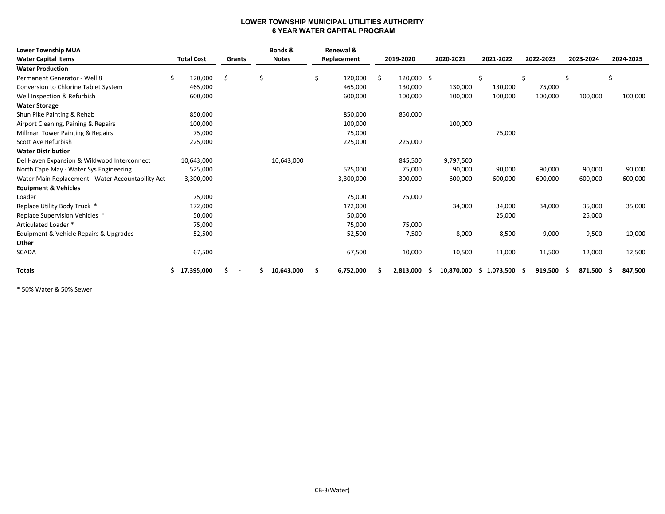#### **LOWER TOWNSHIP MUNICIPAL UTILITIES AUTHORITY 6 YEAR WATER CAPITAL PROGRAM**

| <b>Lower Township MUA</b>                         |                   |        | Bonds &      | Renewal &     |    |              |                   |                |           |               |               |
|---------------------------------------------------|-------------------|--------|--------------|---------------|----|--------------|-------------------|----------------|-----------|---------------|---------------|
| <b>Water Capital Items</b>                        | <b>Total Cost</b> | Grants | <b>Notes</b> | Replacement   |    | 2019-2020    | 2020-2021         | 2021-2022      | 2022-2023 | 2023-2024     | 2024-2025     |
| <b>Water Production</b>                           |                   |        |              |               |    |              |                   |                |           |               |               |
| Permanent Generator - Well 8                      | 120,000<br>Ś.     | S      | \$           | \$<br>120,000 | Ŝ. | $120,000$ \$ |                   | Ś              | \$        | Ŝ             | \$            |
| Conversion to Chlorine Tablet System              | 465,000           |        |              | 465,000       |    | 130,000      | 130,000           | 130,000        | 75,000    |               |               |
| Well Inspection & Refurbish                       | 600,000           |        |              | 600,000       |    | 100,000      | 100,000           | 100,000        | 100,000   | 100,000       | 100,000       |
| <b>Water Storage</b>                              |                   |        |              |               |    |              |                   |                |           |               |               |
| Shun Pike Painting & Rehab                        | 850,000           |        |              | 850,000       |    | 850,000      |                   |                |           |               |               |
| Airport Cleaning, Paining & Repairs               | 100,000           |        |              | 100,000       |    |              | 100,000           |                |           |               |               |
| Millman Tower Painting & Repairs                  | 75,000            |        |              | 75,000        |    |              |                   | 75,000         |           |               |               |
| Scott Ave Refurbish                               | 225,000           |        |              | 225,000       |    | 225,000      |                   |                |           |               |               |
| <b>Water Distribution</b>                         |                   |        |              |               |    |              |                   |                |           |               |               |
| Del Haven Expansion & Wildwood Interconnect       | 10,643,000        |        | 10,643,000   |               |    | 845,500      | 9,797,500         |                |           |               |               |
| North Cape May - Water Sys Engineering            | 525,000           |        |              | 525,000       |    | 75,000       | 90,000            | 90,000         | 90,000    | 90,000        | 90,000        |
| Water Main Replacement - Water Accountability Act | 3,300,000         |        |              | 3,300,000     |    | 300,000      | 600,000           | 600,000        | 600,000   | 600,000       | 600,000       |
| <b>Equipment &amp; Vehicles</b>                   |                   |        |              |               |    |              |                   |                |           |               |               |
| Loader                                            | 75,000            |        |              | 75,000        |    | 75,000       |                   |                |           |               |               |
| Replace Utility Body Truck *                      | 172,000           |        |              | 172,000       |    |              | 34,000            | 34,000         | 34,000    | 35,000        | 35,000        |
| Replace Supervision Vehicles *                    | 50,000            |        |              | 50,000        |    |              |                   | 25,000         |           | 25,000        |               |
| Articulated Loader *                              | 75,000            |        |              | 75,000        |    | 75,000       |                   |                |           |               |               |
| Equipment & Vehicle Repairs & Upgrades            | 52,500            |        |              | 52,500        |    | 7,500        | 8,000             | 8,500          | 9,000     | 9,500         | 10,000        |
| Other                                             |                   |        |              |               |    |              |                   |                |           |               |               |
| <b>SCADA</b>                                      | 67,500            |        |              | 67,500        |    | 10,000       | 10,500            | 11,000         | 11,500    | 12,000        | 12,500        |
|                                                   |                   |        |              |               |    |              |                   |                |           |               |               |
| Totals                                            | 17,395,000        |        | 10,643,000   | 6,752,000     |    | 2,813,000    | 10,870,000<br>- 5 | 1,073,500<br>S | 919,500   | 871,500<br>-S | 847,500<br>-S |

\* 50% Water & 50% Sewer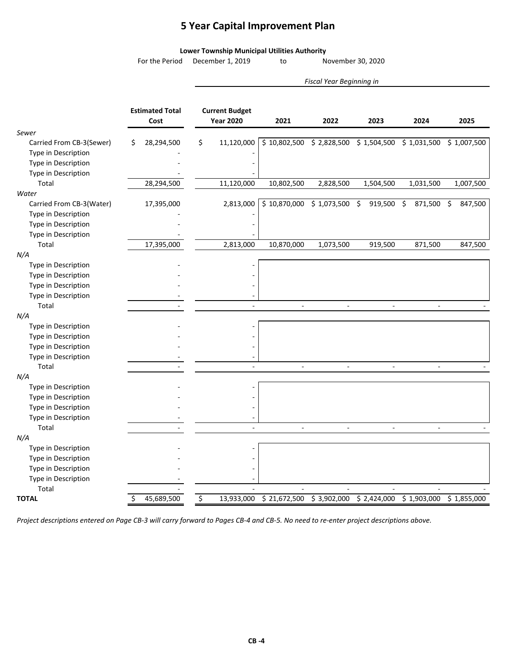### **5 Year Capital Improvement Plan**

#### **Lower Township Municipal Utilities Authority**

For the Period December 1, 2019 to November 30, 2020

*Fiscal Year Beginning in*

|                          | <b>Estimated Total</b><br>Cost | <b>Current Budget</b><br><b>Year 2020</b> | 2021                                              | 2022           | 2023        | 2024          | 2025          |
|--------------------------|--------------------------------|-------------------------------------------|---------------------------------------------------|----------------|-------------|---------------|---------------|
| Sewer                    |                                |                                           |                                                   |                |             |               |               |
| Carried From CB-3(Sewer) | \$<br>28,294,500               | \$<br>11,120,000                          | $$10,802,500 \$2,828,500 \$1,504,500 \$1,031,500$ |                |             |               | \$1,007,500   |
| Type in Description      |                                |                                           |                                                   |                |             |               |               |
| Type in Description      |                                |                                           |                                                   |                |             |               |               |
| Type in Description      |                                |                                           |                                                   |                |             |               |               |
| Total                    | 28,294,500                     | 11,120,000                                | 10,802,500                                        | 2,828,500      | 1,504,500   | 1,031,500     | 1,007,500     |
| Water                    |                                |                                           |                                                   |                |             |               |               |
| Carried From CB-3(Water) | 17,395,000                     | 2,813,000                                 | $$10,870,000 \ $1,073,500 \ $$                    |                | 919,500     | \$<br>871,500 | \$<br>847,500 |
| Type in Description      |                                |                                           |                                                   |                |             |               |               |
| Type in Description      |                                |                                           |                                                   |                |             |               |               |
| Type in Description      |                                |                                           |                                                   |                |             |               |               |
| Total                    | 17,395,000                     | 2,813,000                                 | 10,870,000                                        | 1,073,500      | 919,500     | 871,500       | 847,500       |
| N/A                      |                                |                                           |                                                   |                |             |               |               |
| Type in Description      |                                |                                           |                                                   |                |             |               |               |
| Type in Description      |                                |                                           |                                                   |                |             |               |               |
| Type in Description      |                                |                                           |                                                   |                |             |               |               |
| Type in Description      |                                |                                           |                                                   |                |             |               |               |
| Total                    |                                |                                           |                                                   | $\overline{a}$ | $\sim$      |               |               |
| N/A                      |                                |                                           |                                                   |                |             |               |               |
| Type in Description      |                                |                                           |                                                   |                |             |               |               |
| Type in Description      |                                |                                           |                                                   |                |             |               |               |
| Type in Description      |                                |                                           |                                                   |                |             |               |               |
| Type in Description      |                                |                                           |                                                   |                |             |               |               |
| Total                    |                                |                                           | $\overline{a}$                                    | $\overline{a}$ | $\sim$      |               |               |
| N/A                      |                                |                                           |                                                   |                |             |               |               |
| Type in Description      |                                |                                           |                                                   |                |             |               |               |
| Type in Description      |                                |                                           |                                                   |                |             |               |               |
| Type in Description      |                                |                                           |                                                   |                |             |               |               |
| Type in Description      |                                |                                           |                                                   |                |             |               |               |
| Total                    |                                |                                           | $\bar{\phantom{a}}$                               | $\omega$       | $\sim$      |               |               |
| N/A                      |                                |                                           |                                                   |                |             |               |               |
| Type in Description      |                                |                                           |                                                   |                |             |               |               |
| Type in Description      |                                |                                           |                                                   |                |             |               |               |
| Type in Description      |                                |                                           |                                                   |                |             |               |               |
| Type in Description      |                                |                                           |                                                   |                |             |               |               |
| Total                    |                                |                                           |                                                   |                |             |               |               |
| <b>TOTAL</b>             | 45,689,500<br>Ś                | \$<br>13,933,000                          | $$21,672,500$ $$3,902,000$                        |                | \$2,424,000 | \$1,903,000   | \$1,855,000   |

Project descriptions entered on Page CB-3 will carry forward to Pages CB-4 and CB-5. No need to re-enter project descriptions above.